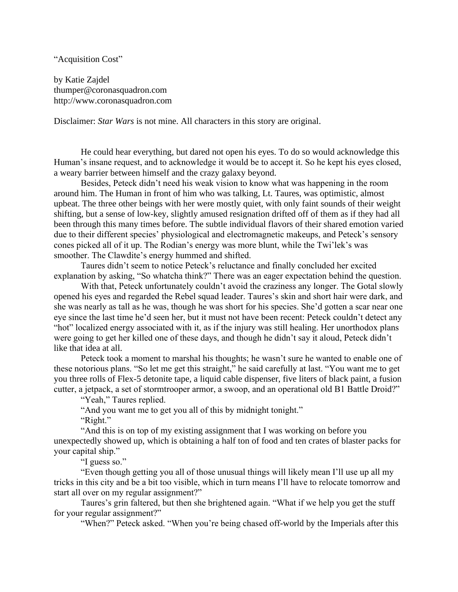## "Acquisition Cost"

by Katie Zajdel thumper@coronasquadron.com http://www.coronasquadron.com

Disclaimer: *Star Wars* is not mine. All characters in this story are original.

He could hear everything, but dared not open his eyes. To do so would acknowledge this Human's insane request, and to acknowledge it would be to accept it. So he kept his eyes closed, a weary barrier between himself and the crazy galaxy beyond.

Besides, Peteck didn't need his weak vision to know what was happening in the room around him. The Human in front of him who was talking, Lt. Taures, was optimistic, almost upbeat. The three other beings with her were mostly quiet, with only faint sounds of their weight shifting, but a sense of low-key, slightly amused resignation drifted off of them as if they had all been through this many times before. The subtle individual flavors of their shared emotion varied due to their different species' physiological and electromagnetic makeups, and Peteck's sensory cones picked all of it up. The Rodian's energy was more blunt, while the Twi'lek's was smoother. The Clawdite's energy hummed and shifted.

Taures didn't seem to notice Peteck's reluctance and finally concluded her excited explanation by asking, "So whatcha think?" There was an eager expectation behind the question.

With that, Peteck unfortunately couldn't avoid the craziness any longer. The Gotal slowly opened his eyes and regarded the Rebel squad leader. Taures's skin and short hair were dark, and she was nearly as tall as he was, though he was short for his species. She'd gotten a scar near one eye since the last time he'd seen her, but it must not have been recent: Peteck couldn't detect any "hot" localized energy associated with it, as if the injury was still healing. Her unorthodox plans were going to get her killed one of these days, and though he didn't say it aloud, Peteck didn't like that idea at all.

Peteck took a moment to marshal his thoughts; he wasn't sure he wanted to enable one of these notorious plans. "So let me get this straight," he said carefully at last. "You want me to get you three rolls of Flex-5 detonite tape, a liquid cable dispenser, five liters of black paint, a fusion cutter, a jetpack, a set of stormtrooper armor, a swoop, and an operational old B1 Battle Droid?"

"Yeah," Taures replied.

"And you want me to get you all of this by midnight tonight."

"Right."

"And this is on top of my existing assignment that I was working on before you unexpectedly showed up, which is obtaining a half ton of food and ten crates of blaster packs for your capital ship."

"I guess so."

"Even though getting you all of those unusual things will likely mean I'll use up all my tricks in this city and be a bit too visible, which in turn means I'll have to relocate tomorrow and start all over on my regular assignment?"

Taures's grin faltered, but then she brightened again. "What if we help you get the stuff for your regular assignment?"

"When?" Peteck asked. "When you're being chased off-world by the Imperials after this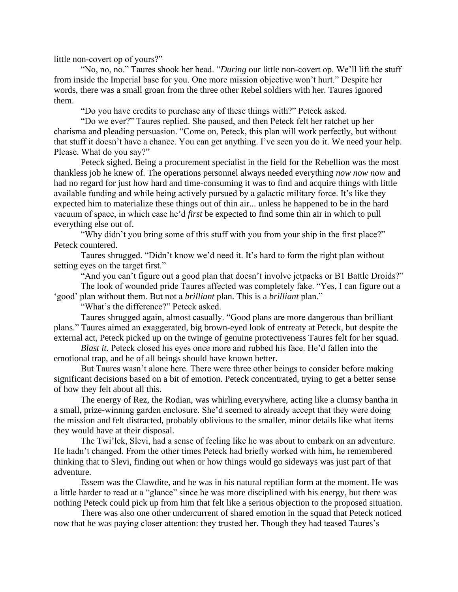little non-covert op of yours?"

"No, no, no." Taures shook her head. "*During* our little non-covert op. We'll lift the stuff from inside the Imperial base for you. One more mission objective won't hurt." Despite her words, there was a small groan from the three other Rebel soldiers with her. Taures ignored them.

"Do you have credits to purchase any of these things with?" Peteck asked.

"Do we ever?" Taures replied. She paused, and then Peteck felt her ratchet up her charisma and pleading persuasion. "Come on, Peteck, this plan will work perfectly, but without that stuff it doesn't have a chance. You can get anything. I've seen you do it. We need your help. Please. What do you say?"

Peteck sighed. Being a procurement specialist in the field for the Rebellion was the most thankless job he knew of. The operations personnel always needed everything *now now now* and had no regard for just how hard and time-consuming it was to find and acquire things with little available funding and while being actively pursued by a galactic military force. It's like they expected him to materialize these things out of thin air... unless he happened to be in the hard vacuum of space, in which case he'd *first* be expected to find some thin air in which to pull everything else out of.

"Why didn't you bring some of this stuff with you from your ship in the first place?" Peteck countered.

Taures shrugged. "Didn't know we'd need it. It's hard to form the right plan without setting eyes on the target first."

"And you can't figure out a good plan that doesn't involve jetpacks or B1 Battle Droids?"

The look of wounded pride Taures affected was completely fake. "Yes, I can figure out a

'good' plan without them. But not a *brilliant* plan. This is a *brilliant* plan."

"What's the difference?" Peteck asked.

Taures shrugged again, almost casually. "Good plans are more dangerous than brilliant plans." Taures aimed an exaggerated, big brown-eyed look of entreaty at Peteck, but despite the external act, Peteck picked up on the twinge of genuine protectiveness Taures felt for her squad.

*Blast it.* Peteck closed his eyes once more and rubbed his face. He'd fallen into the emotional trap, and he of all beings should have known better.

But Taures wasn't alone here. There were three other beings to consider before making significant decisions based on a bit of emotion. Peteck concentrated, trying to get a better sense of how they felt about all this.

The energy of Rez, the Rodian, was whirling everywhere, acting like a clumsy bantha in a small, prize-winning garden enclosure. She'd seemed to already accept that they were doing the mission and felt distracted, probably oblivious to the smaller, minor details like what items they would have at their disposal.

The Twi'lek, Slevi, had a sense of feeling like he was about to embark on an adventure. He hadn't changed. From the other times Peteck had briefly worked with him, he remembered thinking that to Slevi, finding out when or how things would go sideways was just part of that adventure.

Essem was the Clawdite, and he was in his natural reptilian form at the moment. He was a little harder to read at a "glance" since he was more disciplined with his energy, but there was nothing Peteck could pick up from him that felt like a serious objection to the proposed situation.

There was also one other undercurrent of shared emotion in the squad that Peteck noticed now that he was paying closer attention: they trusted her. Though they had teased Taures's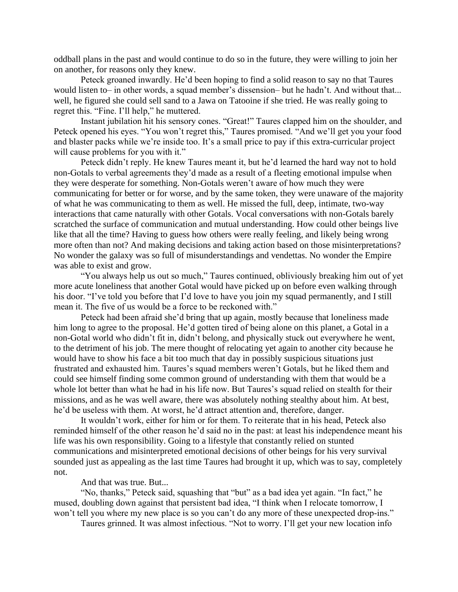oddball plans in the past and would continue to do so in the future, they were willing to join her on another, for reasons only they knew.

Peteck groaned inwardly. He'd been hoping to find a solid reason to say no that Taures would listen to– in other words, a squad member's dissension– but he hadn't. And without that... well, he figured she could sell sand to a Jawa on Tatooine if she tried. He was really going to regret this. "Fine. I'll help," he muttered.

Instant jubilation hit his sensory cones. "Great!" Taures clapped him on the shoulder, and Peteck opened his eyes. "You won't regret this," Taures promised. "And we'll get you your food and blaster packs while we're inside too. It's a small price to pay if this extra-curricular project will cause problems for you with it."

Peteck didn't reply. He knew Taures meant it, but he'd learned the hard way not to hold non-Gotals to verbal agreements they'd made as a result of a fleeting emotional impulse when they were desperate for something. Non-Gotals weren't aware of how much they were communicating for better or for worse, and by the same token, they were unaware of the majority of what he was communicating to them as well. He missed the full, deep, intimate, two-way interactions that came naturally with other Gotals. Vocal conversations with non-Gotals barely scratched the surface of communication and mutual understanding. How could other beings live like that all the time? Having to guess how others were really feeling, and likely being wrong more often than not? And making decisions and taking action based on those misinterpretations? No wonder the galaxy was so full of misunderstandings and vendettas. No wonder the Empire was able to exist and grow.

"You always help us out so much," Taures continued, obliviously breaking him out of yet more acute loneliness that another Gotal would have picked up on before even walking through his door. "I've told you before that I'd love to have you join my squad permanently, and I still mean it. The five of us would be a force to be reckoned with."

Peteck had been afraid she'd bring that up again, mostly because that loneliness made him long to agree to the proposal. He'd gotten tired of being alone on this planet, a Gotal in a non-Gotal world who didn't fit in, didn't belong, and physically stuck out everywhere he went, to the detriment of his job. The mere thought of relocating yet again to another city because he would have to show his face a bit too much that day in possibly suspicious situations just frustrated and exhausted him. Taures's squad members weren't Gotals, but he liked them and could see himself finding some common ground of understanding with them that would be a whole lot better than what he had in his life now. But Taures's squad relied on stealth for their missions, and as he was well aware, there was absolutely nothing stealthy about him. At best, he'd be useless with them. At worst, he'd attract attention and, therefore, danger.

It wouldn't work, either for him or for them. To reiterate that in his head, Peteck also reminded himself of the other reason he'd said no in the past: at least his independence meant his life was his own responsibility. Going to a lifestyle that constantly relied on stunted communications and misinterpreted emotional decisions of other beings for his very survival sounded just as appealing as the last time Taures had brought it up, which was to say, completely not.

And that was true. But...

"No, thanks," Peteck said, squashing that "but" as a bad idea yet again. "In fact," he mused, doubling down against that persistent bad idea, "I think when I relocate tomorrow, I won't tell you where my new place is so you can't do any more of these unexpected drop-ins."

Taures grinned. It was almost infectious. "Not to worry. I'll get your new location info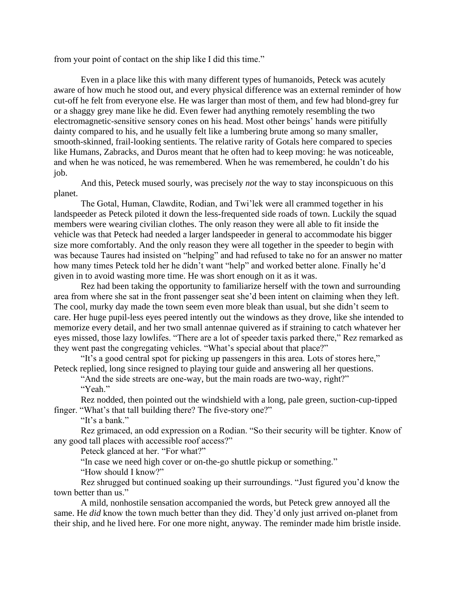from your point of contact on the ship like I did this time."

Even in a place like this with many different types of humanoids, Peteck was acutely aware of how much he stood out, and every physical difference was an external reminder of how cut-off he felt from everyone else. He was larger than most of them, and few had blond-grey fur or a shaggy grey mane like he did. Even fewer had anything remotely resembling the two electromagnetic-sensitive sensory cones on his head. Most other beings' hands were pitifully dainty compared to his, and he usually felt like a lumbering brute among so many smaller, smooth-skinned, frail-looking sentients. The relative rarity of Gotals here compared to species like Humans, Zabracks, and Duros meant that he often had to keep moving: he was noticeable, and when he was noticed, he was remembered. When he was remembered, he couldn't do his job.

And this, Peteck mused sourly, was precisely *not* the way to stay inconspicuous on this planet.

The Gotal, Human, Clawdite, Rodian, and Twi'lek were all crammed together in his landspeeder as Peteck piloted it down the less-frequented side roads of town. Luckily the squad members were wearing civilian clothes. The only reason they were all able to fit inside the vehicle was that Peteck had needed a larger landspeeder in general to accommodate his bigger size more comfortably. And the only reason they were all together in the speeder to begin with was because Taures had insisted on "helping" and had refused to take no for an answer no matter how many times Peteck told her he didn't want "help" and worked better alone. Finally he'd given in to avoid wasting more time. He was short enough on it as it was.

Rez had been taking the opportunity to familiarize herself with the town and surrounding area from where she sat in the front passenger seat she'd been intent on claiming when they left. The cool, murky day made the town seem even more bleak than usual, but she didn't seem to care. Her huge pupil-less eyes peered intently out the windows as they drove, like she intended to memorize every detail, and her two small antennae quivered as if straining to catch whatever her eyes missed, those lazy lowlifes. "There are a lot of speeder taxis parked there," Rez remarked as they went past the congregating vehicles. "What's special about that place?"

"It's a good central spot for picking up passengers in this area. Lots of stores here," Peteck replied, long since resigned to playing tour guide and answering all her questions.

"And the side streets are one-way, but the main roads are two-way, right?" "Yeah."

Rez nodded, then pointed out the windshield with a long, pale green, suction-cup-tipped finger. "What's that tall building there? The five-story one?"

"It's a bank."

Rez grimaced, an odd expression on a Rodian. "So their security will be tighter. Know of any good tall places with accessible roof access?"

Peteck glanced at her. "For what?"

"In case we need high cover or on-the-go shuttle pickup or something."

"How should I know?"

Rez shrugged but continued soaking up their surroundings. "Just figured you'd know the town better than us."

A mild, nonhostile sensation accompanied the words, but Peteck grew annoyed all the same. He *did* know the town much better than they did. They'd only just arrived on-planet from their ship, and he lived here. For one more night, anyway. The reminder made him bristle inside.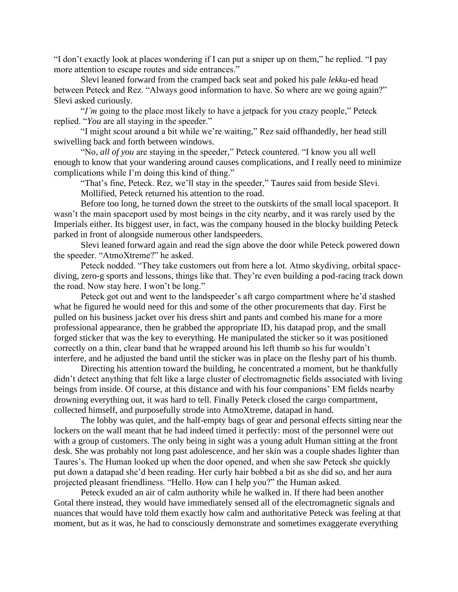"I don't exactly look at places wondering if I can put a sniper up on them," he replied. "I pay more attention to escape routes and side entrances."

Slevi leaned forward from the cramped back seat and poked his pale *lekku*-ed head between Peteck and Rez. "Always good information to have. So where are we going again?" Slevi asked curiously.

"*I'm* going to the place most likely to have a jetpack for you crazy people," Peteck replied. "*You* are all staying in the speeder."

"I might scout around a bit while we're waiting," Rez said offhandedly, her head still swivelling back and forth between windows.

"No, *all of you* are staying in the speeder," Peteck countered. "I know you all well enough to know that your wandering around causes complications, and I really need to minimize complications while I'm doing this kind of thing."

"That's fine, Peteck. Rez, we'll stay in the speeder," Taures said from beside Slevi. Mollified, Peteck returned his attention to the road.

Before too long, he turned down the street to the outskirts of the small local spaceport. It wasn't the main spaceport used by most beings in the city nearby, and it was rarely used by the Imperials either. Its biggest user, in fact, was the company housed in the blocky building Peteck parked in front of alongside numerous other landspeeders.

Slevi leaned forward again and read the sign above the door while Peteck powered down the speeder. "AtmoXtreme?" he asked.

Peteck nodded. "They take customers out from here a lot. Atmo skydiving, orbital spacediving, zero-g sports and lessons, things like that. They're even building a pod-racing track down the road. Now stay here. I won't be long."

Peteck got out and went to the landspeeder's aft cargo compartment where he'd stashed what he figured he would need for this and some of the other procurements that day. First he pulled on his business jacket over his dress shirt and pants and combed his mane for a more professional appearance, then he grabbed the appropriate ID, his datapad prop, and the small forged sticker that was the key to everything. He manipulated the sticker so it was positioned correctly on a thin, clear band that he wrapped around his left thumb so his fur wouldn't interfere, and he adjusted the band until the sticker was in place on the fleshy part of his thumb.

Directing his attention toward the building, he concentrated a moment, but he thankfully didn't detect anything that felt like a large cluster of electromagnetic fields associated with living beings from inside. Of course, at this distance and with his four companions' EM fields nearby drowning everything out, it was hard to tell. Finally Peteck closed the cargo compartment, collected himself, and purposefully strode into AtmoXtreme, datapad in hand.

The lobby was quiet, and the half-empty bags of gear and personal effects sitting near the lockers on the wall meant that he had indeed timed it perfectly: most of the personnel were out with a group of customers. The only being in sight was a young adult Human sitting at the front desk. She was probably not long past adolescence, and her skin was a couple shades lighter than Taures's. The Human looked up when the door opened, and when she saw Peteck she quickly put down a datapad she'd been reading. Her curly hair bobbed a bit as she did so, and her aura projected pleasant friendliness. "Hello. How can I help you?" the Human asked.

Peteck exuded an air of calm authority while he walked in. If there had been another Gotal there instead, they would have immediately sensed all of the electromagnetic signals and nuances that would have told them exactly how calm and authoritative Peteck was feeling at that moment, but as it was, he had to consciously demonstrate and sometimes exaggerate everything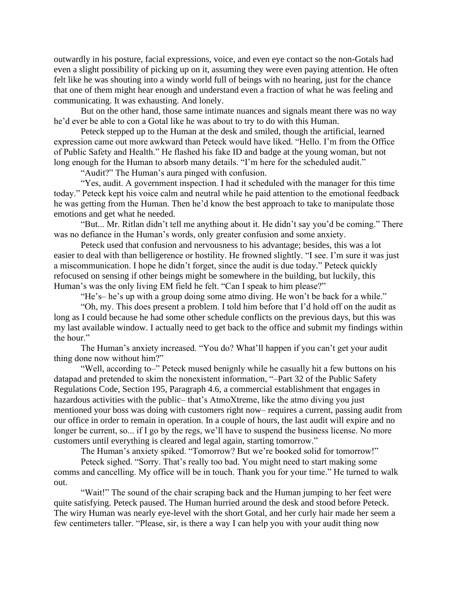outwardly in his posture, facial expressions, voice, and even eye contact so the non-Gotals had even a slight possibility of picking up on it, assuming they were even paying attention. He often felt like he was shouting into a windy world full of beings with no hearing, just for the chance that one of them might hear enough and understand even a fraction of what he was feeling and communicating. It was exhausting. And lonely.

But on the other hand, those same intimate nuances and signals meant there was no way he'd ever be able to con a Gotal like he was about to try to do with this Human.

Peteck stepped up to the Human at the desk and smiled, though the artificial, learned expression came out more awkward than Peteck would have liked. "Hello. I'm from the Office of Public Safety and Health." He flashed his fake ID and badge at the young woman, but not long enough for the Human to absorb many details. "I'm here for the scheduled audit."

"Audit?" The Human's aura pinged with confusion.

"Yes, audit. A government inspection. I had it scheduled with the manager for this time today." Peteck kept his voice calm and neutral while he paid attention to the emotional feedback he was getting from the Human. Then he'd know the best approach to take to manipulate those emotions and get what he needed.

"But... Mr. Ritlan didn't tell me anything about it. He didn't say you'd be coming." There was no defiance in the Human's words, only greater confusion and some anxiety.

Peteck used that confusion and nervousness to his advantage; besides, this was a lot easier to deal with than belligerence or hostility. He frowned slightly. "I see. I'm sure it was just a miscommunication. I hope he didn't forget, since the audit is due today." Peteck quickly refocused on sensing if other beings might be somewhere in the building, but luckily, this Human's was the only living EM field he felt. "Can I speak to him please?"

"He's– he's up with a group doing some atmo diving. He won't be back for a while."

"Oh, my. This does present a problem. I told him before that I'd hold off on the audit as long as I could because he had some other schedule conflicts on the previous days, but this was my last available window. I actually need to get back to the office and submit my findings within the hour."

The Human's anxiety increased. "You do? What'll happen if you can't get your audit thing done now without him?"

"Well, according to–" Peteck mused benignly while he casually hit a few buttons on his datapad and pretended to skim the nonexistent information, "–Part 32 of the Public Safety Regulations Code, Section 195, Paragraph 4.6, a commercial establishment that engages in hazardous activities with the public– that's AtmoXtreme, like the atmo diving you just mentioned your boss was doing with customers right now– requires a current, passing audit from our office in order to remain in operation. In a couple of hours, the last audit will expire and no longer be current, so... if I go by the regs, we'll have to suspend the business license. No more customers until everything is cleared and legal again, starting tomorrow."

The Human's anxiety spiked. "Tomorrow? But we're booked solid for tomorrow!"

Peteck sighed. "Sorry. That's really too bad. You might need to start making some comms and cancelling. My office will be in touch. Thank you for your time." He turned to walk out.

"Wait!" The sound of the chair scraping back and the Human jumping to her feet were quite satisfying. Peteck paused. The Human hurried around the desk and stood before Peteck. The wiry Human was nearly eye-level with the short Gotal, and her curly hair made her seem a few centimeters taller. "Please, sir, is there a way I can help you with your audit thing now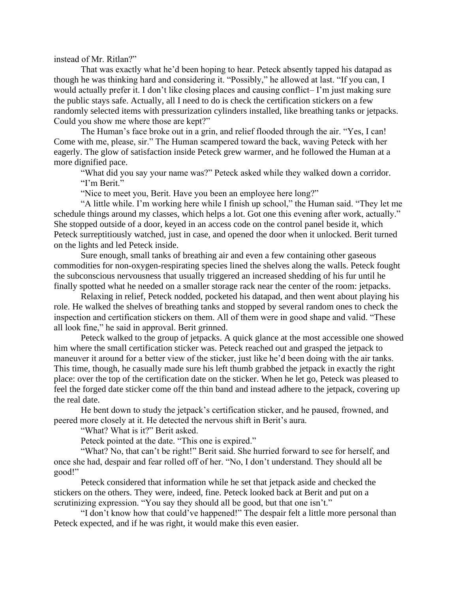instead of Mr. Ritlan?"

That was exactly what he'd been hoping to hear. Peteck absently tapped his datapad as though he was thinking hard and considering it. "Possibly," he allowed at last. "If you can, I would actually prefer it. I don't like closing places and causing conflict– I'm just making sure the public stays safe. Actually, all I need to do is check the certification stickers on a few randomly selected items with pressurization cylinders installed, like breathing tanks or jetpacks. Could you show me where those are kept?"

The Human's face broke out in a grin, and relief flooded through the air. "Yes, I can! Come with me, please, sir." The Human scampered toward the back, waving Peteck with her eagerly. The glow of satisfaction inside Peteck grew warmer, and he followed the Human at a more dignified pace.

"What did you say your name was?" Peteck asked while they walked down a corridor. "I'm Berit."

"Nice to meet you, Berit. Have you been an employee here long?"

"A little while. I'm working here while I finish up school," the Human said. "They let me schedule things around my classes, which helps a lot. Got one this evening after work, actually." She stopped outside of a door, keyed in an access code on the control panel beside it, which Peteck surreptitiously watched, just in case, and opened the door when it unlocked. Berit turned on the lights and led Peteck inside.

Sure enough, small tanks of breathing air and even a few containing other gaseous commodities for non-oxygen-respirating species lined the shelves along the walls. Peteck fought the subconscious nervousness that usually triggered an increased shedding of his fur until he finally spotted what he needed on a smaller storage rack near the center of the room: jetpacks.

Relaxing in relief, Peteck nodded, pocketed his datapad, and then went about playing his role. He walked the shelves of breathing tanks and stopped by several random ones to check the inspection and certification stickers on them. All of them were in good shape and valid. "These all look fine," he said in approval. Berit grinned.

Peteck walked to the group of jetpacks. A quick glance at the most accessible one showed him where the small certification sticker was. Peteck reached out and grasped the jetpack to maneuver it around for a better view of the sticker, just like he'd been doing with the air tanks. This time, though, he casually made sure his left thumb grabbed the jetpack in exactly the right place: over the top of the certification date on the sticker. When he let go, Peteck was pleased to feel the forged date sticker come off the thin band and instead adhere to the jetpack, covering up the real date.

He bent down to study the jetpack's certification sticker, and he paused, frowned, and peered more closely at it. He detected the nervous shift in Berit's aura.

"What? What is it?" Berit asked.

Peteck pointed at the date. "This one is expired."

"What? No, that can't be right!" Berit said. She hurried forward to see for herself, and once she had, despair and fear rolled off of her. "No, I don't understand. They should all be good!"

Peteck considered that information while he set that jetpack aside and checked the stickers on the others. They were, indeed, fine. Peteck looked back at Berit and put on a scrutinizing expression. "You say they should all be good, but that one isn't."

"I don't know how that could've happened!" The despair felt a little more personal than Peteck expected, and if he was right, it would make this even easier.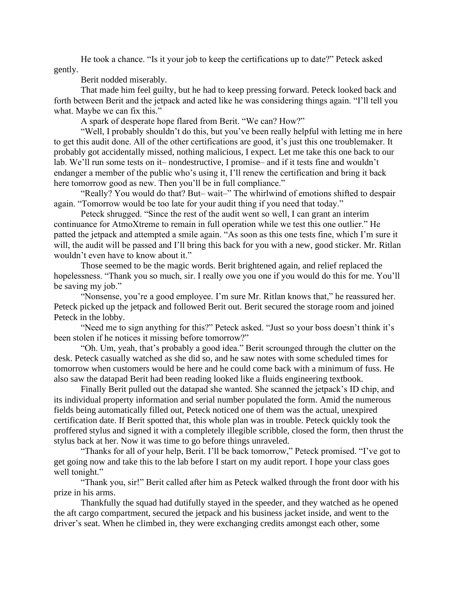He took a chance. "Is it your job to keep the certifications up to date?" Peteck asked gently.

Berit nodded miserably.

That made him feel guilty, but he had to keep pressing forward. Peteck looked back and forth between Berit and the jetpack and acted like he was considering things again. "I'll tell you what. Maybe we can fix this."

A spark of desperate hope flared from Berit. "We can? How?"

"Well, I probably shouldn't do this, but you've been really helpful with letting me in here to get this audit done. All of the other certifications are good, it's just this one troublemaker. It probably got accidentally missed, nothing malicious, I expect. Let me take this one back to our lab. We'll run some tests on it– nondestructive, I promise– and if it tests fine and wouldn't endanger a member of the public who's using it, I'll renew the certification and bring it back here tomorrow good as new. Then you'll be in full compliance."

"Really? You would do that? But– wait–" The whirlwind of emotions shifted to despair again. "Tomorrow would be too late for your audit thing if you need that today."

Peteck shrugged. "Since the rest of the audit went so well, I can grant an interim continuance for AtmoXtreme to remain in full operation while we test this one outlier." He patted the jetpack and attempted a smile again. "As soon as this one tests fine, which I'm sure it will, the audit will be passed and I'll bring this back for you with a new, good sticker. Mr. Ritlan wouldn't even have to know about it."

Those seemed to be the magic words. Berit brightened again, and relief replaced the hopelessness. "Thank you so much, sir. I really owe you one if you would do this for me. You'll be saving my job."

"Nonsense, you're a good employee. I'm sure Mr. Ritlan knows that," he reassured her. Peteck picked up the jetpack and followed Berit out. Berit secured the storage room and joined Peteck in the lobby.

"Need me to sign anything for this?" Peteck asked. "Just so your boss doesn't think it's been stolen if he notices it missing before tomorrow?"

"Oh. Um, yeah, that's probably a good idea." Berit scrounged through the clutter on the desk. Peteck casually watched as she did so, and he saw notes with some scheduled times for tomorrow when customers would be here and he could come back with a minimum of fuss. He also saw the datapad Berit had been reading looked like a fluids engineering textbook.

Finally Berit pulled out the datapad she wanted. She scanned the jetpack's ID chip, and its individual property information and serial number populated the form. Amid the numerous fields being automatically filled out, Peteck noticed one of them was the actual, unexpired certification date. If Berit spotted that, this whole plan was in trouble. Peteck quickly took the proffered stylus and signed it with a completely illegible scribble, closed the form, then thrust the stylus back at her. Now it was time to go before things unraveled.

"Thanks for all of your help, Berit. I'll be back tomorrow," Peteck promised. "I've got to get going now and take this to the lab before I start on my audit report. I hope your class goes well tonight."

"Thank you, sir!" Berit called after him as Peteck walked through the front door with his prize in his arms.

Thankfully the squad had dutifully stayed in the speeder, and they watched as he opened the aft cargo compartment, secured the jetpack and his business jacket inside, and went to the driver's seat. When he climbed in, they were exchanging credits amongst each other, some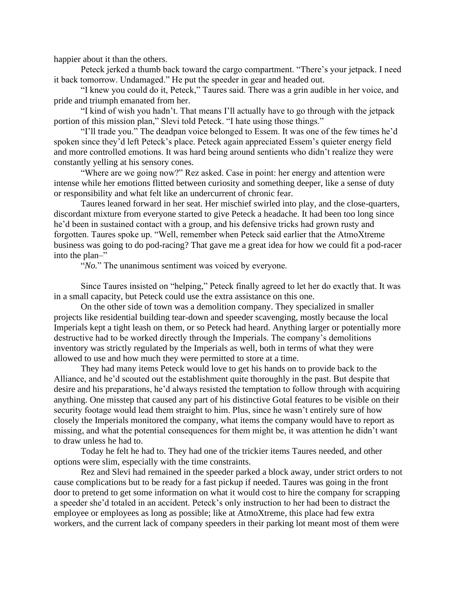happier about it than the others.

Peteck jerked a thumb back toward the cargo compartment. "There's your jetpack. I need it back tomorrow. Undamaged." He put the speeder in gear and headed out.

"I knew you could do it, Peteck," Taures said. There was a grin audible in her voice, and pride and triumph emanated from her.

"I kind of wish you hadn't. That means I'll actually have to go through with the jetpack portion of this mission plan," Slevi told Peteck. "I hate using those things."

"I'll trade you." The deadpan voice belonged to Essem. It was one of the few times he'd spoken since they'd left Peteck's place. Peteck again appreciated Essem's quieter energy field and more controlled emotions. It was hard being around sentients who didn't realize they were constantly yelling at his sensory cones.

"Where are we going now?" Rez asked. Case in point: her energy and attention were intense while her emotions flitted between curiosity and something deeper, like a sense of duty or responsibility and what felt like an undercurrent of chronic fear.

Taures leaned forward in her seat. Her mischief swirled into play, and the close-quarters, discordant mixture from everyone started to give Peteck a headache. It had been too long since he'd been in sustained contact with a group, and his defensive tricks had grown rusty and forgotten. Taures spoke up. "Well, remember when Peteck said earlier that the AtmoXtreme business was going to do pod-racing? That gave me a great idea for how we could fit a pod-racer into the plan–"

"*No.*" The unanimous sentiment was voiced by everyone.

Since Taures insisted on "helping," Peteck finally agreed to let her do exactly that. It was in a small capacity, but Peteck could use the extra assistance on this one.

On the other side of town was a demolition company. They specialized in smaller projects like residential building tear-down and speeder scavenging, mostly because the local Imperials kept a tight leash on them, or so Peteck had heard. Anything larger or potentially more destructive had to be worked directly through the Imperials. The company's demolitions inventory was strictly regulated by the Imperials as well, both in terms of what they were allowed to use and how much they were permitted to store at a time.

They had many items Peteck would love to get his hands on to provide back to the Alliance, and he'd scouted out the establishment quite thoroughly in the past. But despite that desire and his preparations, he'd always resisted the temptation to follow through with acquiring anything. One misstep that caused any part of his distinctive Gotal features to be visible on their security footage would lead them straight to him. Plus, since he wasn't entirely sure of how closely the Imperials monitored the company, what items the company would have to report as missing, and what the potential consequences for them might be, it was attention he didn't want to draw unless he had to.

Today he felt he had to. They had one of the trickier items Taures needed, and other options were slim, especially with the time constraints.

Rez and Slevi had remained in the speeder parked a block away, under strict orders to not cause complications but to be ready for a fast pickup if needed. Taures was going in the front door to pretend to get some information on what it would cost to hire the company for scrapping a speeder she'd totaled in an accident. Peteck's only instruction to her had been to distract the employee or employees as long as possible; like at AtmoXtreme, this place had few extra workers, and the current lack of company speeders in their parking lot meant most of them were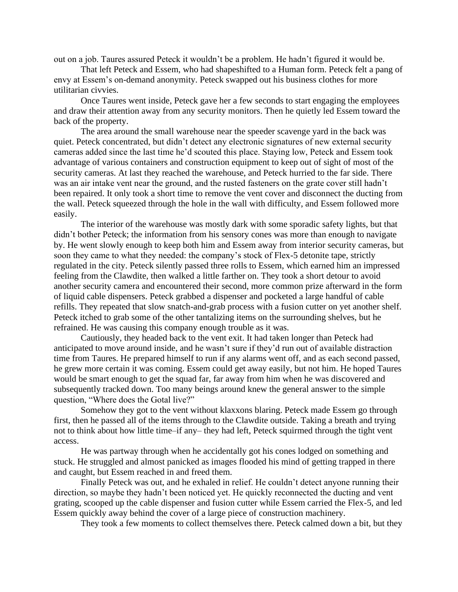out on a job. Taures assured Peteck it wouldn't be a problem. He hadn't figured it would be.

That left Peteck and Essem, who had shapeshifted to a Human form. Peteck felt a pang of envy at Essem's on-demand anonymity. Peteck swapped out his business clothes for more utilitarian civvies.

Once Taures went inside, Peteck gave her a few seconds to start engaging the employees and draw their attention away from any security monitors. Then he quietly led Essem toward the back of the property.

The area around the small warehouse near the speeder scavenge yard in the back was quiet. Peteck concentrated, but didn't detect any electronic signatures of new external security cameras added since the last time he'd scouted this place. Staying low, Peteck and Essem took advantage of various containers and construction equipment to keep out of sight of most of the security cameras. At last they reached the warehouse, and Peteck hurried to the far side. There was an air intake vent near the ground, and the rusted fasteners on the grate cover still hadn't been repaired. It only took a short time to remove the vent cover and disconnect the ducting from the wall. Peteck squeezed through the hole in the wall with difficulty, and Essem followed more easily.

The interior of the warehouse was mostly dark with some sporadic safety lights, but that didn't bother Peteck; the information from his sensory cones was more than enough to navigate by. He went slowly enough to keep both him and Essem away from interior security cameras, but soon they came to what they needed: the company's stock of Flex-5 detonite tape, strictly regulated in the city. Peteck silently passed three rolls to Essem, which earned him an impressed feeling from the Clawdite, then walked a little farther on. They took a short detour to avoid another security camera and encountered their second, more common prize afterward in the form of liquid cable dispensers. Peteck grabbed a dispenser and pocketed a large handful of cable refills. They repeated that slow snatch-and-grab process with a fusion cutter on yet another shelf. Peteck itched to grab some of the other tantalizing items on the surrounding shelves, but he refrained. He was causing this company enough trouble as it was.

Cautiously, they headed back to the vent exit. It had taken longer than Peteck had anticipated to move around inside, and he wasn't sure if they'd run out of available distraction time from Taures. He prepared himself to run if any alarms went off, and as each second passed, he grew more certain it was coming. Essem could get away easily, but not him. He hoped Taures would be smart enough to get the squad far, far away from him when he was discovered and subsequently tracked down. Too many beings around knew the general answer to the simple question, "Where does the Gotal live?"

Somehow they got to the vent without klaxxons blaring. Peteck made Essem go through first, then he passed all of the items through to the Clawdite outside. Taking a breath and trying not to think about how little time–if any– they had left, Peteck squirmed through the tight vent access.

He was partway through when he accidentally got his cones lodged on something and stuck. He struggled and almost panicked as images flooded his mind of getting trapped in there and caught, but Essem reached in and freed them.

Finally Peteck was out, and he exhaled in relief. He couldn't detect anyone running their direction, so maybe they hadn't been noticed yet. He quickly reconnected the ducting and vent grating, scooped up the cable dispenser and fusion cutter while Essem carried the Flex-5, and led Essem quickly away behind the cover of a large piece of construction machinery.

They took a few moments to collect themselves there. Peteck calmed down a bit, but they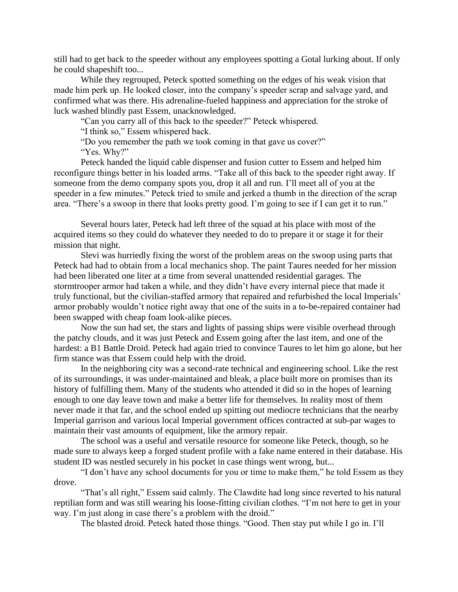still had to get back to the speeder without any employees spotting a Gotal lurking about. If only he could shapeshift too...

While they regrouped, Peteck spotted something on the edges of his weak vision that made him perk up. He looked closer, into the company's speeder scrap and salvage yard, and confirmed what was there. His adrenaline-fueled happiness and appreciation for the stroke of luck washed blindly past Essem, unacknowledged.

"Can you carry all of this back to the speeder?" Peteck whispered.

"I think so," Essem whispered back.

"Do you remember the path we took coming in that gave us cover?" "Yes. Why?"

Peteck handed the liquid cable dispenser and fusion cutter to Essem and helped him reconfigure things better in his loaded arms. "Take all of this back to the speeder right away. If someone from the demo company spots you, drop it all and run. I'll meet all of you at the speeder in a few minutes." Peteck tried to smile and jerked a thumb in the direction of the scrap area. "There's a swoop in there that looks pretty good. I'm going to see if I can get it to run."

Several hours later, Peteck had left three of the squad at his place with most of the acquired items so they could do whatever they needed to do to prepare it or stage it for their mission that night.

Slevi was hurriedly fixing the worst of the problem areas on the swoop using parts that Peteck had had to obtain from a local mechanics shop. The paint Taures needed for her mission had been liberated one liter at a time from several unattended residential garages. The stormtrooper armor had taken a while, and they didn't have every internal piece that made it truly functional, but the civilian-staffed armory that repaired and refurbished the local Imperials' armor probably wouldn't notice right away that one of the suits in a to-be-repaired container had been swapped with cheap foam look-alike pieces.

Now the sun had set, the stars and lights of passing ships were visible overhead through the patchy clouds, and it was just Peteck and Essem going after the last item, and one of the hardest: a B1 Battle Droid. Peteck had again tried to convince Taures to let him go alone, but her firm stance was that Essem could help with the droid.

In the neighboring city was a second-rate technical and engineering school. Like the rest of its surroundings, it was under-maintained and bleak, a place built more on promises than its history of fulfilling them. Many of the students who attended it did so in the hopes of learning enough to one day leave town and make a better life for themselves. In reality most of them never made it that far, and the school ended up spitting out mediocre technicians that the nearby Imperial garrison and various local Imperial government offices contracted at sub-par wages to maintain their vast amounts of equipment, like the armory repair.

The school was a useful and versatile resource for someone like Peteck, though, so he made sure to always keep a forged student profile with a fake name entered in their database. His student ID was nestled securely in his pocket in case things went wrong, but...

"I don't have any school documents for you or time to make them," he told Essem as they drove.

"That's all right," Essem said calmly. The Clawdite had long since reverted to his natural reptilian form and was still wearing his loose-fitting civilian clothes. "I'm not here to get in your way. I'm just along in case there's a problem with the droid."

The blasted droid. Peteck hated those things. "Good. Then stay put while I go in. I'll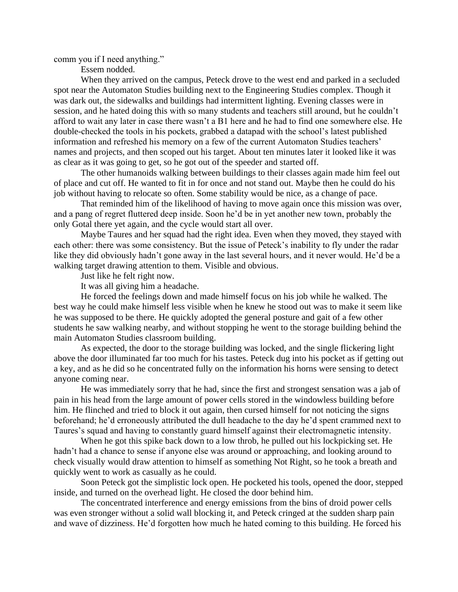comm you if I need anything."

Essem nodded.

When they arrived on the campus, Peteck drove to the west end and parked in a secluded spot near the Automaton Studies building next to the Engineering Studies complex. Though it was dark out, the sidewalks and buildings had intermittent lighting. Evening classes were in session, and he hated doing this with so many students and teachers still around, but he couldn't afford to wait any later in case there wasn't a B1 here and he had to find one somewhere else. He double-checked the tools in his pockets, grabbed a datapad with the school's latest published information and refreshed his memory on a few of the current Automaton Studies teachers' names and projects, and then scoped out his target. About ten minutes later it looked like it was as clear as it was going to get, so he got out of the speeder and started off.

The other humanoids walking between buildings to their classes again made him feel out of place and cut off. He wanted to fit in for once and not stand out. Maybe then he could do his job without having to relocate so often. Some stability would be nice, as a change of pace.

That reminded him of the likelihood of having to move again once this mission was over, and a pang of regret fluttered deep inside. Soon he'd be in yet another new town, probably the only Gotal there yet again, and the cycle would start all over.

Maybe Taures and her squad had the right idea. Even when they moved, they stayed with each other: there was some consistency. But the issue of Peteck's inability to fly under the radar like they did obviously hadn't gone away in the last several hours, and it never would. He'd be a walking target drawing attention to them. Visible and obvious.

Just like he felt right now.

It was all giving him a headache.

He forced the feelings down and made himself focus on his job while he walked. The best way he could make himself less visible when he knew he stood out was to make it seem like he was supposed to be there. He quickly adopted the general posture and gait of a few other students he saw walking nearby, and without stopping he went to the storage building behind the main Automaton Studies classroom building.

As expected, the door to the storage building was locked, and the single flickering light above the door illuminated far too much for his tastes. Peteck dug into his pocket as if getting out a key, and as he did so he concentrated fully on the information his horns were sensing to detect anyone coming near.

He was immediately sorry that he had, since the first and strongest sensation was a jab of pain in his head from the large amount of power cells stored in the windowless building before him. He flinched and tried to block it out again, then cursed himself for not noticing the signs beforehand; he'd erroneously attributed the dull headache to the day he'd spent crammed next to Taures's squad and having to constantly guard himself against their electromagnetic intensity.

When he got this spike back down to a low throb, he pulled out his lockpicking set. He hadn't had a chance to sense if anyone else was around or approaching, and looking around to check visually would draw attention to himself as something Not Right, so he took a breath and quickly went to work as casually as he could.

Soon Peteck got the simplistic lock open. He pocketed his tools, opened the door, stepped inside, and turned on the overhead light. He closed the door behind him.

The concentrated interference and energy emissions from the bins of droid power cells was even stronger without a solid wall blocking it, and Peteck cringed at the sudden sharp pain and wave of dizziness. He'd forgotten how much he hated coming to this building. He forced his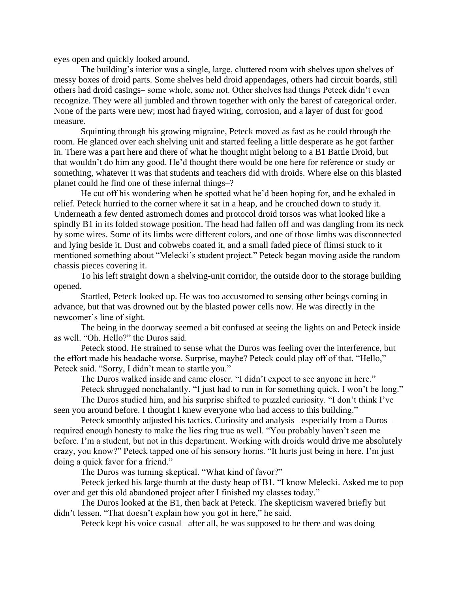eyes open and quickly looked around.

The building's interior was a single, large, cluttered room with shelves upon shelves of messy boxes of droid parts. Some shelves held droid appendages, others had circuit boards, still others had droid casings– some whole, some not. Other shelves had things Peteck didn't even recognize. They were all jumbled and thrown together with only the barest of categorical order. None of the parts were new; most had frayed wiring, corrosion, and a layer of dust for good measure.

Squinting through his growing migraine, Peteck moved as fast as he could through the room. He glanced over each shelving unit and started feeling a little desperate as he got farther in. There was a part here and there of what he thought might belong to a B1 Battle Droid, but that wouldn't do him any good. He'd thought there would be one here for reference or study or something, whatever it was that students and teachers did with droids. Where else on this blasted planet could he find one of these infernal things–?

He cut off his wondering when he spotted what he'd been hoping for, and he exhaled in relief. Peteck hurried to the corner where it sat in a heap, and he crouched down to study it. Underneath a few dented astromech domes and protocol droid torsos was what looked like a spindly B1 in its folded stowage position. The head had fallen off and was dangling from its neck by some wires. Some of its limbs were different colors, and one of those limbs was disconnected and lying beside it. Dust and cobwebs coated it, and a small faded piece of flimsi stuck to it mentioned something about "Melecki's student project." Peteck began moving aside the random chassis pieces covering it.

To his left straight down a shelving-unit corridor, the outside door to the storage building opened.

Startled, Peteck looked up. He was too accustomed to sensing other beings coming in advance, but that was drowned out by the blasted power cells now. He was directly in the newcomer's line of sight.

The being in the doorway seemed a bit confused at seeing the lights on and Peteck inside as well. "Oh. Hello?" the Duros said.

Peteck stood. He strained to sense what the Duros was feeling over the interference, but the effort made his headache worse. Surprise, maybe? Peteck could play off of that. "Hello," Peteck said. "Sorry, I didn't mean to startle you."

The Duros walked inside and came closer. "I didn't expect to see anyone in here."

Peteck shrugged nonchalantly. "I just had to run in for something quick. I won't be long." The Duros studied him, and his surprise shifted to puzzled curiosity. "I don't think I've

seen you around before. I thought I knew everyone who had access to this building."

Peteck smoothly adjusted his tactics. Curiosity and analysis– especially from a Duros– required enough honesty to make the lies ring true as well. "You probably haven't seen me before. I'm a student, but not in this department. Working with droids would drive me absolutely crazy, you know?" Peteck tapped one of his sensory horns. "It hurts just being in here. I'm just doing a quick favor for a friend."

The Duros was turning skeptical. "What kind of favor?"

Peteck jerked his large thumb at the dusty heap of B1. "I know Melecki. Asked me to pop over and get this old abandoned project after I finished my classes today."

The Duros looked at the B1, then back at Peteck. The skepticism wavered briefly but didn't lessen. "That doesn't explain how you got in here," he said.

Peteck kept his voice casual– after all, he was supposed to be there and was doing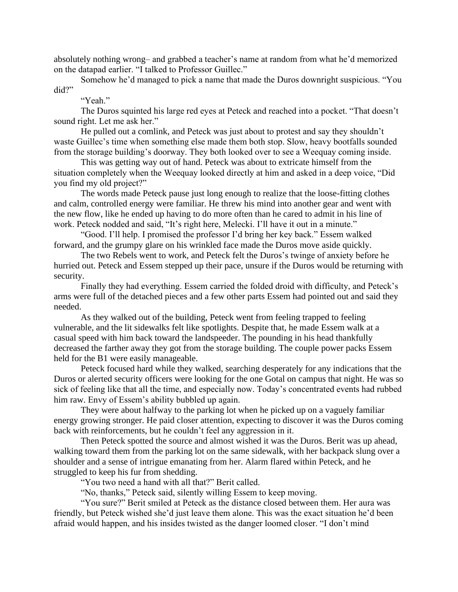absolutely nothing wrong– and grabbed a teacher's name at random from what he'd memorized on the datapad earlier. "I talked to Professor Guillec."

Somehow he'd managed to pick a name that made the Duros downright suspicious. "You did?"

"Yeah."

The Duros squinted his large red eyes at Peteck and reached into a pocket. "That doesn't sound right. Let me ask her."

He pulled out a comlink, and Peteck was just about to protest and say they shouldn't waste Guillec's time when something else made them both stop. Slow, heavy bootfalls sounded from the storage building's doorway. They both looked over to see a Weequay coming inside.

This was getting way out of hand. Peteck was about to extricate himself from the situation completely when the Weequay looked directly at him and asked in a deep voice, "Did you find my old project?"

The words made Peteck pause just long enough to realize that the loose-fitting clothes and calm, controlled energy were familiar. He threw his mind into another gear and went with the new flow, like he ended up having to do more often than he cared to admit in his line of work. Peteck nodded and said, "It's right here, Melecki. I'll have it out in a minute."

"Good. I'll help. I promised the professor I'd bring her key back." Essem walked forward, and the grumpy glare on his wrinkled face made the Duros move aside quickly.

The two Rebels went to work, and Peteck felt the Duros's twinge of anxiety before he hurried out. Peteck and Essem stepped up their pace, unsure if the Duros would be returning with security.

Finally they had everything. Essem carried the folded droid with difficulty, and Peteck's arms were full of the detached pieces and a few other parts Essem had pointed out and said they needed.

As they walked out of the building, Peteck went from feeling trapped to feeling vulnerable, and the lit sidewalks felt like spotlights. Despite that, he made Essem walk at a casual speed with him back toward the landspeeder. The pounding in his head thankfully decreased the farther away they got from the storage building. The couple power packs Essem held for the B1 were easily manageable.

Peteck focused hard while they walked, searching desperately for any indications that the Duros or alerted security officers were looking for the one Gotal on campus that night. He was so sick of feeling like that all the time, and especially now. Today's concentrated events had rubbed him raw. Envy of Essem's ability bubbled up again.

They were about halfway to the parking lot when he picked up on a vaguely familiar energy growing stronger. He paid closer attention, expecting to discover it was the Duros coming back with reinforcements, but he couldn't feel any aggression in it.

Then Peteck spotted the source and almost wished it was the Duros. Berit was up ahead, walking toward them from the parking lot on the same sidewalk, with her backpack slung over a shoulder and a sense of intrigue emanating from her. Alarm flared within Peteck, and he struggled to keep his fur from shedding.

"You two need a hand with all that?" Berit called.

"No, thanks," Peteck said, silently willing Essem to keep moving.

"You sure?" Berit smiled at Peteck as the distance closed between them. Her aura was friendly, but Peteck wished she'd just leave them alone. This was the exact situation he'd been afraid would happen, and his insides twisted as the danger loomed closer. "I don't mind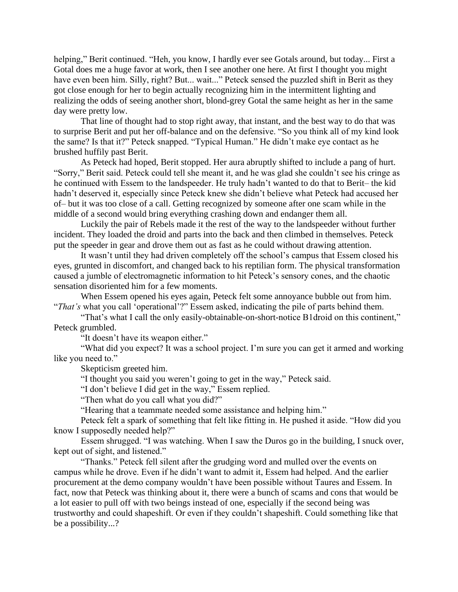helping," Berit continued. "Heh, you know, I hardly ever see Gotals around, but today... First a Gotal does me a huge favor at work, then I see another one here. At first I thought you might have even been him. Silly, right? But... wait..." Peteck sensed the puzzled shift in Berit as they got close enough for her to begin actually recognizing him in the intermittent lighting and realizing the odds of seeing another short, blond-grey Gotal the same height as her in the same day were pretty low.

That line of thought had to stop right away, that instant, and the best way to do that was to surprise Berit and put her off-balance and on the defensive. "So you think all of my kind look the same? Is that it?" Peteck snapped. "Typical Human." He didn't make eye contact as he brushed huffily past Berit.

As Peteck had hoped, Berit stopped. Her aura abruptly shifted to include a pang of hurt. "Sorry," Berit said. Peteck could tell she meant it, and he was glad she couldn't see his cringe as he continued with Essem to the landspeeder. He truly hadn't wanted to do that to Berit– the kid hadn't deserved it, especially since Peteck knew she didn't believe what Peteck had accused her of– but it was too close of a call. Getting recognized by someone after one scam while in the middle of a second would bring everything crashing down and endanger them all.

Luckily the pair of Rebels made it the rest of the way to the landspeeder without further incident. They loaded the droid and parts into the back and then climbed in themselves. Peteck put the speeder in gear and drove them out as fast as he could without drawing attention.

It wasn't until they had driven completely off the school's campus that Essem closed his eyes, grunted in discomfort, and changed back to his reptilian form. The physical transformation caused a jumble of electromagnetic information to hit Peteck's sensory cones, and the chaotic sensation disoriented him for a few moments.

When Essem opened his eyes again, Peteck felt some annoyance bubble out from him. "*That's* what you call 'operational'?" Essem asked, indicating the pile of parts behind them.

"That's what I call the only easily-obtainable-on-short-notice B1droid on this continent," Peteck grumbled.

"It doesn't have its weapon either."

"What did you expect? It was a school project. I'm sure you can get it armed and working like you need to."

Skepticism greeted him.

"I thought you said you weren't going to get in the way," Peteck said.

"I don't believe I did get in the way," Essem replied.

"Then what do you call what you did?"

"Hearing that a teammate needed some assistance and helping him."

Peteck felt a spark of something that felt like fitting in. He pushed it aside. "How did you know I supposedly needed help?"

Essem shrugged. "I was watching. When I saw the Duros go in the building, I snuck over, kept out of sight, and listened."

"Thanks." Peteck fell silent after the grudging word and mulled over the events on campus while he drove. Even if he didn't want to admit it, Essem had helped. And the earlier procurement at the demo company wouldn't have been possible without Taures and Essem. In fact, now that Peteck was thinking about it, there were a bunch of scams and cons that would be a lot easier to pull off with two beings instead of one, especially if the second being was trustworthy and could shapeshift. Or even if they couldn't shapeshift. Could something like that be a possibility...?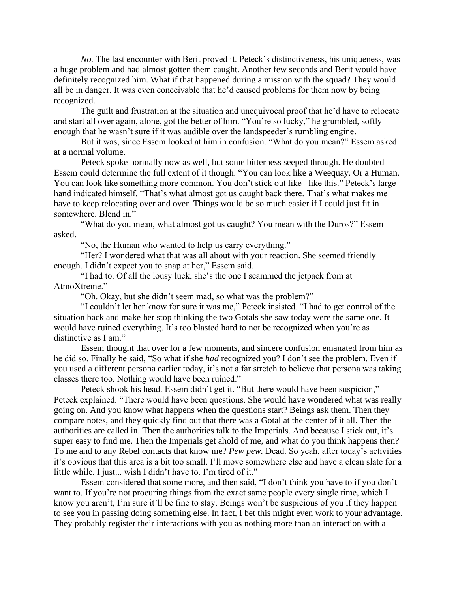*No.* The last encounter with Berit proved it. Peteck's distinctiveness, his uniqueness, was a huge problem and had almost gotten them caught. Another few seconds and Berit would have definitely recognized him. What if that happened during a mission with the squad? They would all be in danger. It was even conceivable that he'd caused problems for them now by being recognized.

The guilt and frustration at the situation and unequivocal proof that he'd have to relocate and start all over again, alone, got the better of him. "You're so lucky," he grumbled, softly enough that he wasn't sure if it was audible over the landspeeder's rumbling engine.

But it was, since Essem looked at him in confusion. "What do you mean?" Essem asked at a normal volume.

Peteck spoke normally now as well, but some bitterness seeped through. He doubted Essem could determine the full extent of it though. "You can look like a Weequay. Or a Human. You can look like something more common. You don't stick out like– like this." Peteck's large hand indicated himself. "That's what almost got us caught back there. That's what makes me have to keep relocating over and over. Things would be so much easier if I could just fit in somewhere. Blend in."

"What do you mean, what almost got us caught? You mean with the Duros?" Essem asked.

"No, the Human who wanted to help us carry everything."

"Her? I wondered what that was all about with your reaction. She seemed friendly enough. I didn't expect you to snap at her," Essem said.

"I had to. Of all the lousy luck, she's the one I scammed the jetpack from at AtmoXtreme."

"Oh. Okay, but she didn't seem mad, so what was the problem?"

"I couldn't let her know for sure it was me," Peteck insisted. "I had to get control of the situation back and make her stop thinking the two Gotals she saw today were the same one. It would have ruined everything. It's too blasted hard to not be recognized when you're as distinctive as I am."

Essem thought that over for a few moments, and sincere confusion emanated from him as he did so. Finally he said, "So what if she *had* recognized you? I don't see the problem. Even if you used a different persona earlier today, it's not a far stretch to believe that persona was taking classes there too. Nothing would have been ruined."

Peteck shook his head. Essem didn't get it. "But there would have been suspicion," Peteck explained. "There would have been questions. She would have wondered what was really going on. And you know what happens when the questions start? Beings ask them. Then they compare notes, and they quickly find out that there was a Gotal at the center of it all. Then the authorities are called in. Then the authorities talk to the Imperials. And because I stick out, it's super easy to find me. Then the Imperials get ahold of me, and what do you think happens then? To me and to any Rebel contacts that know me? *Pew pew.* Dead. So yeah, after today's activities it's obvious that this area is a bit too small. I'll move somewhere else and have a clean slate for a little while. I just... wish I didn't have to. I'm tired of it."

Essem considered that some more, and then said, "I don't think you have to if you don't want to. If you're not procuring things from the exact same people every single time, which I know you aren't, I'm sure it'll be fine to stay. Beings won't be suspicious of you if they happen to see you in passing doing something else. In fact, I bet this might even work to your advantage. They probably register their interactions with you as nothing more than an interaction with a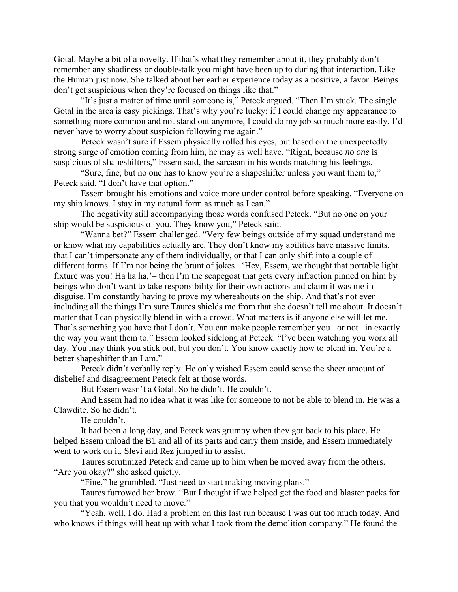Gotal. Maybe a bit of a novelty. If that's what they remember about it, they probably don't remember any shadiness or double-talk you might have been up to during that interaction. Like the Human just now. She talked about her earlier experience today as a positive, a favor. Beings don't get suspicious when they're focused on things like that."

"It's just a matter of time until someone is," Peteck argued. "Then I'm stuck. The single Gotal in the area is easy pickings. That's why you're lucky: if I could change my appearance to something more common and not stand out anymore, I could do my job so much more easily. I'd never have to worry about suspicion following me again."

Peteck wasn't sure if Essem physically rolled his eyes, but based on the unexpectedly strong surge of emotion coming from him, he may as well have. "Right, because *no one* is suspicious of shapeshifters," Essem said, the sarcasm in his words matching his feelings.

"Sure, fine, but no one has to know you're a shapeshifter unless you want them to," Peteck said. "I don't have that option."

Essem brought his emotions and voice more under control before speaking. "Everyone on my ship knows. I stay in my natural form as much as I can."

The negativity still accompanying those words confused Peteck. "But no one on your ship would be suspicious of you. They know you," Peteck said.

"Wanna bet?" Essem challenged. "Very few beings outside of my squad understand me or know what my capabilities actually are. They don't know my abilities have massive limits, that I can't impersonate any of them individually, or that I can only shift into a couple of different forms. If I'm not being the brunt of jokes– 'Hey, Essem, we thought that portable light fixture was you! Ha ha ha,'– then I'm the scapegoat that gets every infraction pinned on him by beings who don't want to take responsibility for their own actions and claim it was me in disguise. I'm constantly having to prove my whereabouts on the ship. And that's not even including all the things I'm sure Taures shields me from that she doesn't tell me about. It doesn't matter that I can physically blend in with a crowd. What matters is if anyone else will let me. That's something you have that I don't. You can make people remember you– or not– in exactly the way you want them to." Essem looked sidelong at Peteck. "I've been watching you work all day. You may think you stick out, but you don't. You know exactly how to blend in. You're a better shapeshifter than I am."

Peteck didn't verbally reply. He only wished Essem could sense the sheer amount of disbelief and disagreement Peteck felt at those words.

But Essem wasn't a Gotal. So he didn't. He couldn't.

And Essem had no idea what it was like for someone to not be able to blend in. He was a Clawdite. So he didn't.

He couldn't.

It had been a long day, and Peteck was grumpy when they got back to his place. He helped Essem unload the B1 and all of its parts and carry them inside, and Essem immediately went to work on it. Slevi and Rez jumped in to assist.

Taures scrutinized Peteck and came up to him when he moved away from the others. "Are you okay?" she asked quietly.

"Fine," he grumbled. "Just need to start making moving plans."

Taures furrowed her brow. "But I thought if we helped get the food and blaster packs for you that you wouldn't need to move."

"Yeah, well, I do. Had a problem on this last run because I was out too much today. And who knows if things will heat up with what I took from the demolition company." He found the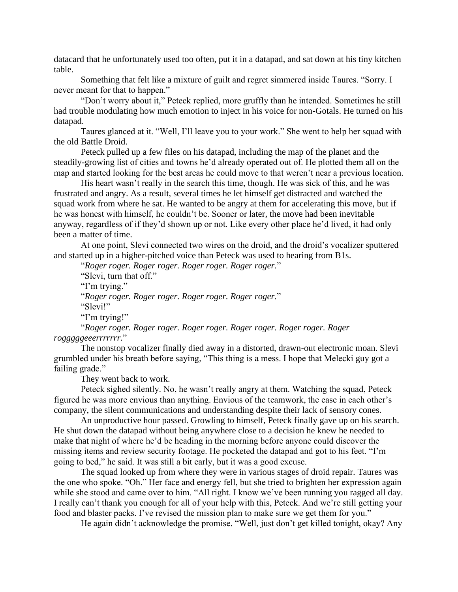datacard that he unfortunately used too often, put it in a datapad, and sat down at his tiny kitchen table.

Something that felt like a mixture of guilt and regret simmered inside Taures. "Sorry. I never meant for that to happen."

"Don't worry about it," Peteck replied, more gruffly than he intended. Sometimes he still had trouble modulating how much emotion to inject in his voice for non-Gotals. He turned on his datapad.

Taures glanced at it. "Well, I'll leave you to your work." She went to help her squad with the old Battle Droid.

Peteck pulled up a few files on his datapad, including the map of the planet and the steadily-growing list of cities and towns he'd already operated out of. He plotted them all on the map and started looking for the best areas he could move to that weren't near a previous location.

His heart wasn't really in the search this time, though. He was sick of this, and he was frustrated and angry. As a result, several times he let himself get distracted and watched the squad work from where he sat. He wanted to be angry at them for accelerating this move, but if he was honest with himself, he couldn't be. Sooner or later, the move had been inevitable anyway, regardless of if they'd shown up or not. Like every other place he'd lived, it had only been a matter of time.

At one point, Slevi connected two wires on the droid, and the droid's vocalizer sputtered and started up in a higher-pitched voice than Peteck was used to hearing from B1s.

"*Roger roger. Roger roger. Roger roger. Roger roger.*"

"Slevi, turn that off." "I'm trying." "*Roger roger. Roger roger. Roger roger. Roger roger.*" "Slevi!" "I'm trying!" "*Roger roger. Roger roger. Roger roger. Roger roger. Roger roger. Roger* 

*rogggggeeerrrrrrr.*"

The nonstop vocalizer finally died away in a distorted, drawn-out electronic moan. Slevi grumbled under his breath before saying, "This thing is a mess. I hope that Melecki guy got a failing grade."

They went back to work.

Peteck sighed silently. No, he wasn't really angry at them. Watching the squad, Peteck figured he was more envious than anything. Envious of the teamwork, the ease in each other's company, the silent communications and understanding despite their lack of sensory cones.

An unproductive hour passed. Growling to himself, Peteck finally gave up on his search. He shut down the datapad without being anywhere close to a decision he knew he needed to make that night of where he'd be heading in the morning before anyone could discover the missing items and review security footage. He pocketed the datapad and got to his feet. "I'm going to bed," he said. It was still a bit early, but it was a good excuse.

The squad looked up from where they were in various stages of droid repair. Taures was the one who spoke. "Oh." Her face and energy fell, but she tried to brighten her expression again while she stood and came over to him. "All right. I know we've been running you ragged all day. I really can't thank you enough for all of your help with this, Peteck. And we're still getting your food and blaster packs. I've revised the mission plan to make sure we get them for you."

He again didn't acknowledge the promise. "Well, just don't get killed tonight, okay? Any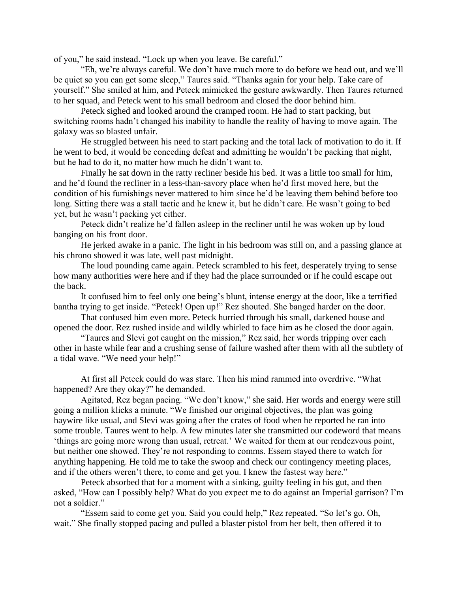of you," he said instead. "Lock up when you leave. Be careful."

"Eh, we're always careful. We don't have much more to do before we head out, and we'll be quiet so you can get some sleep," Taures said. "Thanks again for your help. Take care of yourself." She smiled at him, and Peteck mimicked the gesture awkwardly. Then Taures returned to her squad, and Peteck went to his small bedroom and closed the door behind him.

Peteck sighed and looked around the cramped room. He had to start packing, but switching rooms hadn't changed his inability to handle the reality of having to move again. The galaxy was so blasted unfair.

He struggled between his need to start packing and the total lack of motivation to do it. If he went to bed, it would be conceding defeat and admitting he wouldn't be packing that night, but he had to do it, no matter how much he didn't want to.

Finally he sat down in the ratty recliner beside his bed. It was a little too small for him, and he'd found the recliner in a less-than-savory place when he'd first moved here, but the condition of his furnishings never mattered to him since he'd be leaving them behind before too long. Sitting there was a stall tactic and he knew it, but he didn't care. He wasn't going to bed yet, but he wasn't packing yet either.

Peteck didn't realize he'd fallen asleep in the recliner until he was woken up by loud banging on his front door.

He jerked awake in a panic. The light in his bedroom was still on, and a passing glance at his chrono showed it was late, well past midnight.

The loud pounding came again. Peteck scrambled to his feet, desperately trying to sense how many authorities were here and if they had the place surrounded or if he could escape out the back.

It confused him to feel only one being's blunt, intense energy at the door, like a terrified bantha trying to get inside. "Peteck! Open up!" Rez shouted. She banged harder on the door.

That confused him even more. Peteck hurried through his small, darkened house and opened the door. Rez rushed inside and wildly whirled to face him as he closed the door again.

"Taures and Slevi got caught on the mission," Rez said, her words tripping over each other in haste while fear and a crushing sense of failure washed after them with all the subtlety of a tidal wave. "We need your help!"

At first all Peteck could do was stare. Then his mind rammed into overdrive. "What happened? Are they okay?" he demanded.

Agitated, Rez began pacing. "We don't know," she said. Her words and energy were still going a million klicks a minute. "We finished our original objectives, the plan was going haywire like usual, and Slevi was going after the crates of food when he reported he ran into some trouble. Taures went to help. A few minutes later she transmitted our codeword that means 'things are going more wrong than usual, retreat.' We waited for them at our rendezvous point, but neither one showed. They're not responding to comms. Essem stayed there to watch for anything happening. He told me to take the swoop and check our contingency meeting places, and if the others weren't there, to come and get you. I knew the fastest way here."

Peteck absorbed that for a moment with a sinking, guilty feeling in his gut, and then asked, "How can I possibly help? What do you expect me to do against an Imperial garrison? I'm not a soldier."

"Essem said to come get you. Said you could help," Rez repeated. "So let's go. Oh, wait." She finally stopped pacing and pulled a blaster pistol from her belt, then offered it to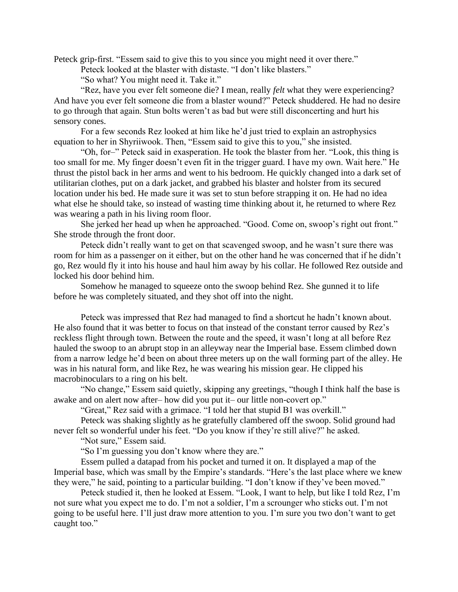Peteck grip-first. "Essem said to give this to you since you might need it over there."

Peteck looked at the blaster with distaste. "I don't like blasters."

"So what? You might need it. Take it."

"Rez, have you ever felt someone die? I mean, really *felt* what they were experiencing? And have you ever felt someone die from a blaster wound?" Peteck shuddered. He had no desire to go through that again. Stun bolts weren't as bad but were still disconcerting and hurt his sensory cones.

For a few seconds Rez looked at him like he'd just tried to explain an astrophysics equation to her in Shyriiwook. Then, "Essem said to give this to you," she insisted.

"Oh, for–" Peteck said in exasperation. He took the blaster from her. "Look, this thing is too small for me. My finger doesn't even fit in the trigger guard. I have my own. Wait here." He thrust the pistol back in her arms and went to his bedroom. He quickly changed into a dark set of utilitarian clothes, put on a dark jacket, and grabbed his blaster and holster from its secured location under his bed. He made sure it was set to stun before strapping it on. He had no idea what else he should take, so instead of wasting time thinking about it, he returned to where Rez was wearing a path in his living room floor.

She jerked her head up when he approached. "Good. Come on, swoop's right out front." She strode through the front door.

Peteck didn't really want to get on that scavenged swoop, and he wasn't sure there was room for him as a passenger on it either, but on the other hand he was concerned that if he didn't go, Rez would fly it into his house and haul him away by his collar. He followed Rez outside and locked his door behind him.

Somehow he managed to squeeze onto the swoop behind Rez. She gunned it to life before he was completely situated, and they shot off into the night.

Peteck was impressed that Rez had managed to find a shortcut he hadn't known about. He also found that it was better to focus on that instead of the constant terror caused by Rez's reckless flight through town. Between the route and the speed, it wasn't long at all before Rez hauled the swoop to an abrupt stop in an alleyway near the Imperial base. Essem climbed down from a narrow ledge he'd been on about three meters up on the wall forming part of the alley. He was in his natural form, and like Rez, he was wearing his mission gear. He clipped his macrobinoculars to a ring on his belt.

"No change," Essem said quietly, skipping any greetings, "though I think half the base is awake and on alert now after– how did you put it– our little non-covert op."

"Great," Rez said with a grimace. "I told her that stupid B1 was overkill."

Peteck was shaking slightly as he gratefully clambered off the swoop. Solid ground had never felt so wonderful under his feet. "Do you know if they're still alive?" he asked.

"Not sure," Essem said.

"So I'm guessing you don't know where they are."

Essem pulled a datapad from his pocket and turned it on. It displayed a map of the Imperial base, which was small by the Empire's standards. "Here's the last place where we knew they were," he said, pointing to a particular building. "I don't know if they've been moved."

Peteck studied it, then he looked at Essem. "Look, I want to help, but like I told Rez, I'm not sure what you expect me to do. I'm not a soldier, I'm a scrounger who sticks out. I'm not going to be useful here. I'll just draw more attention to you. I'm sure you two don't want to get caught too."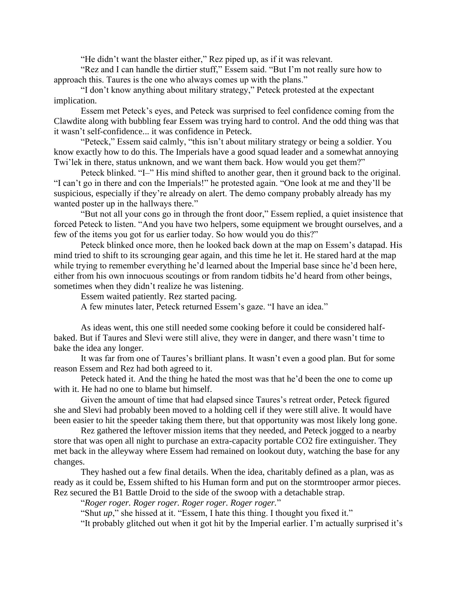"He didn't want the blaster either," Rez piped up, as if it was relevant.

"Rez and I can handle the dirtier stuff," Essem said. "But I'm not really sure how to approach this. Taures is the one who always comes up with the plans."

"I don't know anything about military strategy," Peteck protested at the expectant implication.

Essem met Peteck's eyes, and Peteck was surprised to feel confidence coming from the Clawdite along with bubbling fear Essem was trying hard to control. And the odd thing was that it wasn't self-confidence... it was confidence in Peteck.

"Peteck," Essem said calmly, "this isn't about military strategy or being a soldier. You know exactly how to do this. The Imperials have a good squad leader and a somewhat annoying Twi'lek in there, status unknown, and we want them back. How would you get them?"

Peteck blinked. "I–" His mind shifted to another gear, then it ground back to the original. "I can't go in there and con the Imperials!" he protested again. "One look at me and they'll be suspicious, especially if they're already on alert. The demo company probably already has my wanted poster up in the hallways there."

"But not all your cons go in through the front door," Essem replied, a quiet insistence that forced Peteck to listen. "And you have two helpers, some equipment we brought ourselves, and a few of the items you got for us earlier today. So how would you do this?"

Peteck blinked once more, then he looked back down at the map on Essem's datapad. His mind tried to shift to its scrounging gear again, and this time he let it. He stared hard at the map while trying to remember everything he'd learned about the Imperial base since he'd been here, either from his own innocuous scoutings or from random tidbits he'd heard from other beings, sometimes when they didn't realize he was listening.

Essem waited patiently. Rez started pacing.

A few minutes later, Peteck returned Essem's gaze. "I have an idea."

As ideas went, this one still needed some cooking before it could be considered halfbaked. But if Taures and Slevi were still alive, they were in danger, and there wasn't time to bake the idea any longer.

It was far from one of Taures's brilliant plans. It wasn't even a good plan. But for some reason Essem and Rez had both agreed to it.

Peteck hated it. And the thing he hated the most was that he'd been the one to come up with it. He had no one to blame but himself.

Given the amount of time that had elapsed since Taures's retreat order, Peteck figured she and Slevi had probably been moved to a holding cell if they were still alive. It would have been easier to hit the speeder taking them there, but that opportunity was most likely long gone.

Rez gathered the leftover mission items that they needed, and Peteck jogged to a nearby store that was open all night to purchase an extra-capacity portable CO2 fire extinguisher. They met back in the alleyway where Essem had remained on lookout duty, watching the base for any changes.

They hashed out a few final details. When the idea, charitably defined as a plan, was as ready as it could be, Essem shifted to his Human form and put on the stormtrooper armor pieces. Rez secured the B1 Battle Droid to the side of the swoop with a detachable strap.

"*Roger roger. Roger roger. Roger roger. Roger roger.*"

"Shut *up*," she hissed at it. "Essem, I hate this thing. I thought you fixed it."

"It probably glitched out when it got hit by the Imperial earlier. I'm actually surprised it's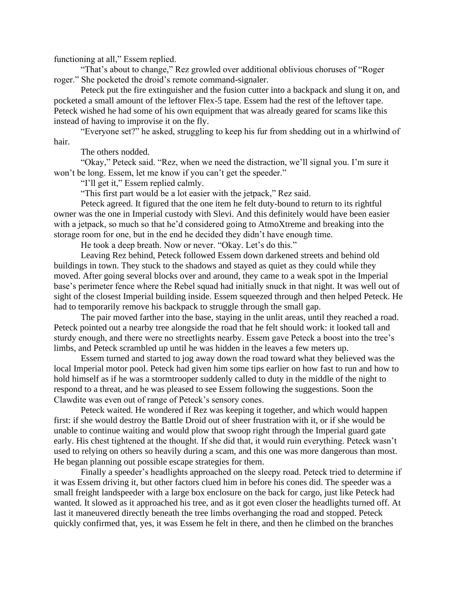functioning at all," Essem replied.

"That's about to change," Rez growled over additional oblivious choruses of "Roger roger." She pocketed the droid's remote command-signaler.

Peteck put the fire extinguisher and the fusion cutter into a backpack and slung it on, and pocketed a small amount of the leftover Flex-5 tape. Essem had the rest of the leftover tape. Peteck wished he had some of his own equipment that was already geared for scams like this instead of having to improvise it on the fly.

"Everyone set?" he asked, struggling to keep his fur from shedding out in a whirlwind of hair.

The others nodded.

"Okay," Peteck said. "Rez, when we need the distraction, we'll signal you. I'm sure it won't be long. Essem, let me know if you can't get the speeder."

"I'll get it," Essem replied calmly.

"This first part would be a lot easier with the jetpack," Rez said.

Peteck agreed. It figured that the one item he felt duty-bound to return to its rightful owner was the one in Imperial custody with Slevi. And this definitely would have been easier with a jetpack, so much so that he'd considered going to AtmoXtreme and breaking into the storage room for one, but in the end he decided they didn't have enough time.

He took a deep breath. Now or never. "Okay. Let's do this."

Leaving Rez behind, Peteck followed Essem down darkened streets and behind old buildings in town. They stuck to the shadows and stayed as quiet as they could while they moved. After going several blocks over and around, they came to a weak spot in the Imperial base's perimeter fence where the Rebel squad had initially snuck in that night. It was well out of sight of the closest Imperial building inside. Essem squeezed through and then helped Peteck. He had to temporarily remove his backpack to struggle through the small gap.

The pair moved farther into the base, staying in the unlit areas, until they reached a road. Peteck pointed out a nearby tree alongside the road that he felt should work: it looked tall and sturdy enough, and there were no streetlights nearby. Essem gave Peteck a boost into the tree's limbs, and Peteck scrambled up until he was hidden in the leaves a few meters up.

Essem turned and started to jog away down the road toward what they believed was the local Imperial motor pool. Peteck had given him some tips earlier on how fast to run and how to hold himself as if he was a stormtrooper suddenly called to duty in the middle of the night to respond to a threat, and he was pleased to see Essem following the suggestions. Soon the Clawdite was even out of range of Peteck's sensory cones.

Peteck waited. He wondered if Rez was keeping it together, and which would happen first: if she would destroy the Battle Droid out of sheer frustration with it, or if she would be unable to continue waiting and would plow that swoop right through the Imperial guard gate early. His chest tightened at the thought. If she did that, it would ruin everything. Peteck wasn't used to relying on others so heavily during a scam, and this one was more dangerous than most. He began planning out possible escape strategies for them.

Finally a speeder's headlights approached on the sleepy road. Peteck tried to determine if it was Essem driving it, but other factors clued him in before his cones did. The speeder was a small freight landspeeder with a large box enclosure on the back for cargo, just like Peteck had wanted. It slowed as it approached his tree, and as it got even closer the headlights turned off. At last it maneuvered directly beneath the tree limbs overhanging the road and stopped. Peteck quickly confirmed that, yes, it was Essem he felt in there, and then he climbed on the branches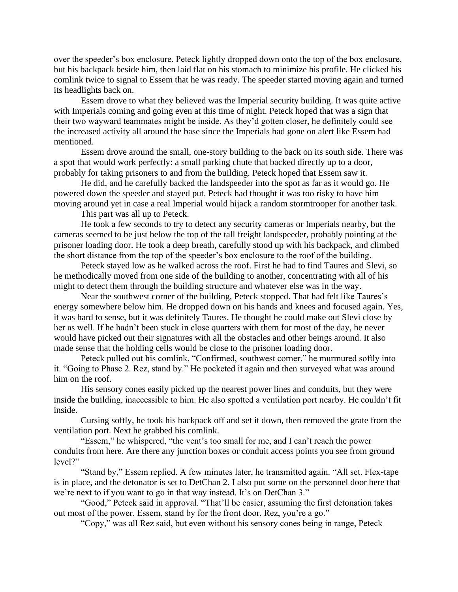over the speeder's box enclosure. Peteck lightly dropped down onto the top of the box enclosure, but his backpack beside him, then laid flat on his stomach to minimize his profile. He clicked his comlink twice to signal to Essem that he was ready. The speeder started moving again and turned its headlights back on.

Essem drove to what they believed was the Imperial security building. It was quite active with Imperials coming and going even at this time of night. Peteck hoped that was a sign that their two wayward teammates might be inside. As they'd gotten closer, he definitely could see the increased activity all around the base since the Imperials had gone on alert like Essem had mentioned.

Essem drove around the small, one-story building to the back on its south side. There was a spot that would work perfectly: a small parking chute that backed directly up to a door, probably for taking prisoners to and from the building. Peteck hoped that Essem saw it.

He did, and he carefully backed the landspeeder into the spot as far as it would go. He powered down the speeder and stayed put. Peteck had thought it was too risky to have him moving around yet in case a real Imperial would hijack a random stormtrooper for another task.

This part was all up to Peteck.

He took a few seconds to try to detect any security cameras or Imperials nearby, but the cameras seemed to be just below the top of the tall freight landspeeder, probably pointing at the prisoner loading door. He took a deep breath, carefully stood up with his backpack, and climbed the short distance from the top of the speeder's box enclosure to the roof of the building.

Peteck stayed low as he walked across the roof. First he had to find Taures and Slevi, so he methodically moved from one side of the building to another, concentrating with all of his might to detect them through the building structure and whatever else was in the way.

Near the southwest corner of the building, Peteck stopped. That had felt like Taures's energy somewhere below him. He dropped down on his hands and knees and focused again. Yes, it was hard to sense, but it was definitely Taures. He thought he could make out Slevi close by her as well. If he hadn't been stuck in close quarters with them for most of the day, he never would have picked out their signatures with all the obstacles and other beings around. It also made sense that the holding cells would be close to the prisoner loading door.

Peteck pulled out his comlink. "Confirmed, southwest corner," he murmured softly into it. "Going to Phase 2. Rez, stand by." He pocketed it again and then surveyed what was around him on the roof.

His sensory cones easily picked up the nearest power lines and conduits, but they were inside the building, inaccessible to him. He also spotted a ventilation port nearby. He couldn't fit inside.

Cursing softly, he took his backpack off and set it down, then removed the grate from the ventilation port. Next he grabbed his comlink.

"Essem," he whispered, "the vent's too small for me, and I can't reach the power conduits from here. Are there any junction boxes or conduit access points you see from ground level?"

"Stand by," Essem replied. A few minutes later, he transmitted again. "All set. Flex-tape is in place, and the detonator is set to DetChan 2. I also put some on the personnel door here that we're next to if you want to go in that way instead. It's on DetChan 3."

"Good," Peteck said in approval. "That'll be easier, assuming the first detonation takes out most of the power. Essem, stand by for the front door. Rez, you're a go."

"Copy," was all Rez said, but even without his sensory cones being in range, Peteck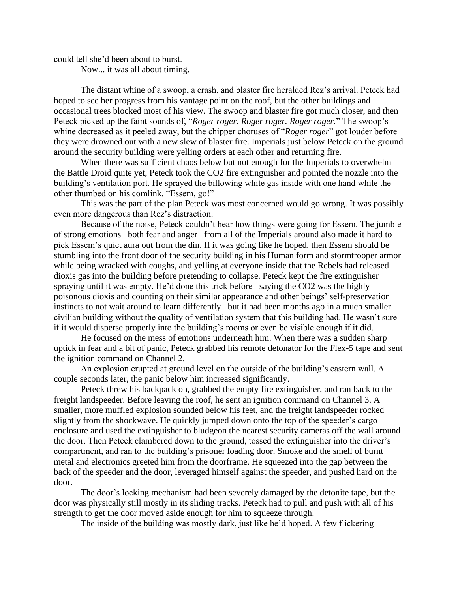could tell she'd been about to burst.

Now... it was all about timing.

The distant whine of a swoop, a crash, and blaster fire heralded Rez's arrival. Peteck had hoped to see her progress from his vantage point on the roof, but the other buildings and occasional trees blocked most of his view. The swoop and blaster fire got much closer, and then Peteck picked up the faint sounds of, "*Roger roger. Roger roger. Roger roger.*" The swoop's whine decreased as it peeled away, but the chipper choruses of "*Roger roger*" got louder before they were drowned out with a new slew of blaster fire. Imperials just below Peteck on the ground around the security building were yelling orders at each other and returning fire.

When there was sufficient chaos below but not enough for the Imperials to overwhelm the Battle Droid quite yet, Peteck took the CO2 fire extinguisher and pointed the nozzle into the building's ventilation port. He sprayed the billowing white gas inside with one hand while the other thumbed on his comlink. "Essem, go!"

This was the part of the plan Peteck was most concerned would go wrong. It was possibly even more dangerous than Rez's distraction.

Because of the noise, Peteck couldn't hear how things were going for Essem. The jumble of strong emotions– both fear and anger– from all of the Imperials around also made it hard to pick Essem's quiet aura out from the din. If it was going like he hoped, then Essem should be stumbling into the front door of the security building in his Human form and stormtrooper armor while being wracked with coughs, and yelling at everyone inside that the Rebels had released dioxis gas into the building before pretending to collapse. Peteck kept the fire extinguisher spraying until it was empty. He'd done this trick before– saying the CO2 was the highly poisonous dioxis and counting on their similar appearance and other beings' self-preservation instincts to not wait around to learn differently– but it had been months ago in a much smaller civilian building without the quality of ventilation system that this building had. He wasn't sure if it would disperse properly into the building's rooms or even be visible enough if it did.

He focused on the mess of emotions underneath him. When there was a sudden sharp uptick in fear and a bit of panic, Peteck grabbed his remote detonator for the Flex-5 tape and sent the ignition command on Channel 2.

An explosion erupted at ground level on the outside of the building's eastern wall. A couple seconds later, the panic below him increased significantly.

Peteck threw his backpack on, grabbed the empty fire extinguisher, and ran back to the freight landspeeder. Before leaving the roof, he sent an ignition command on Channel 3. A smaller, more muffled explosion sounded below his feet, and the freight landspeeder rocked slightly from the shockwave. He quickly jumped down onto the top of the speeder's cargo enclosure and used the extinguisher to bludgeon the nearest security cameras off the wall around the door. Then Peteck clambered down to the ground, tossed the extinguisher into the driver's compartment, and ran to the building's prisoner loading door. Smoke and the smell of burnt metal and electronics greeted him from the doorframe. He squeezed into the gap between the back of the speeder and the door, leveraged himself against the speeder, and pushed hard on the door.

The door's locking mechanism had been severely damaged by the detonite tape, but the door was physically still mostly in its sliding tracks. Peteck had to pull and push with all of his strength to get the door moved aside enough for him to squeeze through.

The inside of the building was mostly dark, just like he'd hoped. A few flickering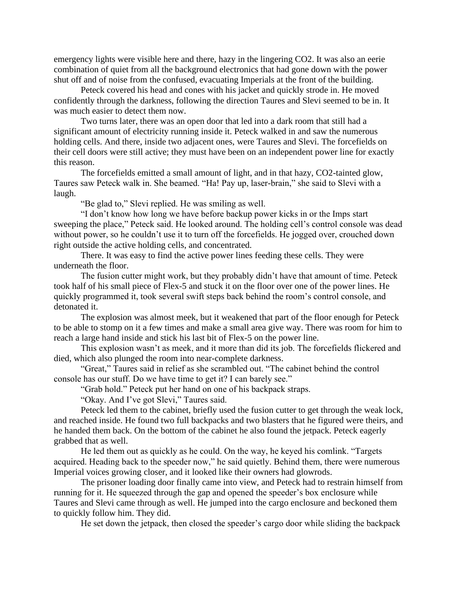emergency lights were visible here and there, hazy in the lingering CO2. It was also an eerie combination of quiet from all the background electronics that had gone down with the power shut off and of noise from the confused, evacuating Imperials at the front of the building.

Peteck covered his head and cones with his jacket and quickly strode in. He moved confidently through the darkness, following the direction Taures and Slevi seemed to be in. It was much easier to detect them now.

Two turns later, there was an open door that led into a dark room that still had a significant amount of electricity running inside it. Peteck walked in and saw the numerous holding cells. And there, inside two adjacent ones, were Taures and Slevi. The forcefields on their cell doors were still active; they must have been on an independent power line for exactly this reason.

The forcefields emitted a small amount of light, and in that hazy, CO2-tainted glow, Taures saw Peteck walk in. She beamed. "Ha! Pay up, laser-brain," she said to Slevi with a laugh.

"Be glad to," Slevi replied. He was smiling as well.

"I don't know how long we have before backup power kicks in or the Imps start sweeping the place," Peteck said. He looked around. The holding cell's control console was dead without power, so he couldn't use it to turn off the forcefields. He jogged over, crouched down right outside the active holding cells, and concentrated.

There. It was easy to find the active power lines feeding these cells. They were underneath the floor.

The fusion cutter might work, but they probably didn't have that amount of time. Peteck took half of his small piece of Flex-5 and stuck it on the floor over one of the power lines. He quickly programmed it, took several swift steps back behind the room's control console, and detonated it.

The explosion was almost meek, but it weakened that part of the floor enough for Peteck to be able to stomp on it a few times and make a small area give way. There was room for him to reach a large hand inside and stick his last bit of Flex-5 on the power line.

This explosion wasn't as meek, and it more than did its job. The forcefields flickered and died, which also plunged the room into near-complete darkness.

"Great," Taures said in relief as she scrambled out. "The cabinet behind the control console has our stuff. Do we have time to get it? I can barely see."

"Grab hold." Peteck put her hand on one of his backpack straps.

"Okay. And I've got Slevi," Taures said.

Peteck led them to the cabinet, briefly used the fusion cutter to get through the weak lock, and reached inside. He found two full backpacks and two blasters that he figured were theirs, and he handed them back. On the bottom of the cabinet he also found the jetpack. Peteck eagerly grabbed that as well.

He led them out as quickly as he could. On the way, he keyed his comlink. "Targets acquired. Heading back to the speeder now," he said quietly. Behind them, there were numerous Imperial voices growing closer, and it looked like their owners had glowrods.

The prisoner loading door finally came into view, and Peteck had to restrain himself from running for it. He squeezed through the gap and opened the speeder's box enclosure while Taures and Slevi came through as well. He jumped into the cargo enclosure and beckoned them to quickly follow him. They did.

He set down the jetpack, then closed the speeder's cargo door while sliding the backpack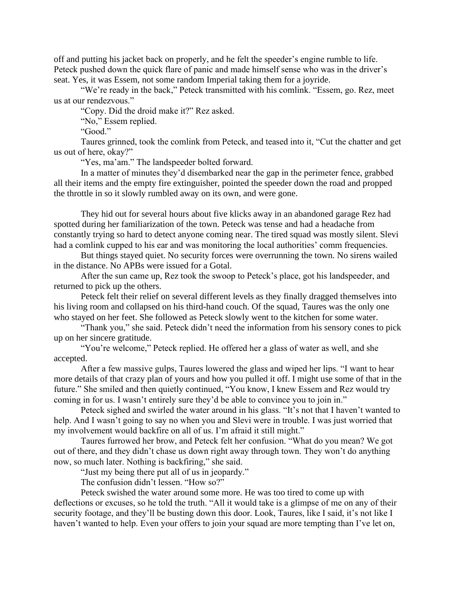off and putting his jacket back on properly, and he felt the speeder's engine rumble to life. Peteck pushed down the quick flare of panic and made himself sense who was in the driver's seat. Yes, it was Essem, not some random Imperial taking them for a joyride.

"We're ready in the back," Peteck transmitted with his comlink. "Essem, go. Rez, meet us at our rendezvous."

"Copy. Did the droid make it?" Rez asked.

"No," Essem replied.

"Good."

Taures grinned, took the comlink from Peteck, and teased into it, "Cut the chatter and get us out of here, okay?"

"Yes, ma'am." The landspeeder bolted forward.

In a matter of minutes they'd disembarked near the gap in the perimeter fence, grabbed all their items and the empty fire extinguisher, pointed the speeder down the road and propped the throttle in so it slowly rumbled away on its own, and were gone.

They hid out for several hours about five klicks away in an abandoned garage Rez had spotted during her familiarization of the town. Peteck was tense and had a headache from constantly trying so hard to detect anyone coming near. The tired squad was mostly silent. Slevi had a comlink cupped to his ear and was monitoring the local authorities' comm frequencies.

But things stayed quiet. No security forces were overrunning the town. No sirens wailed in the distance. No APBs were issued for a Gotal.

After the sun came up, Rez took the swoop to Peteck's place, got his landspeeder, and returned to pick up the others.

Peteck felt their relief on several different levels as they finally dragged themselves into his living room and collapsed on his third-hand couch. Of the squad, Taures was the only one who stayed on her feet. She followed as Peteck slowly went to the kitchen for some water.

"Thank you," she said. Peteck didn't need the information from his sensory cones to pick up on her sincere gratitude.

"You're welcome," Peteck replied. He offered her a glass of water as well, and she accepted.

After a few massive gulps, Taures lowered the glass and wiped her lips. "I want to hear more details of that crazy plan of yours and how you pulled it off. I might use some of that in the future." She smiled and then quietly continued, "You know, I knew Essem and Rez would try coming in for us. I wasn't entirely sure they'd be able to convince you to join in."

Peteck sighed and swirled the water around in his glass. "It's not that I haven't wanted to help. And I wasn't going to say no when you and Slevi were in trouble. I was just worried that my involvement would backfire on all of us. I'm afraid it still might."

Taures furrowed her brow, and Peteck felt her confusion. "What do you mean? We got out of there, and they didn't chase us down right away through town. They won't do anything now, so much later. Nothing is backfiring," she said.

"Just my being there put all of us in jeopardy."

The confusion didn't lessen. "How so?"

Peteck swished the water around some more. He was too tired to come up with deflections or excuses, so he told the truth. "All it would take is a glimpse of me on any of their security footage, and they'll be busting down this door. Look, Taures, like I said, it's not like I haven't wanted to help. Even your offers to join your squad are more tempting than I've let on,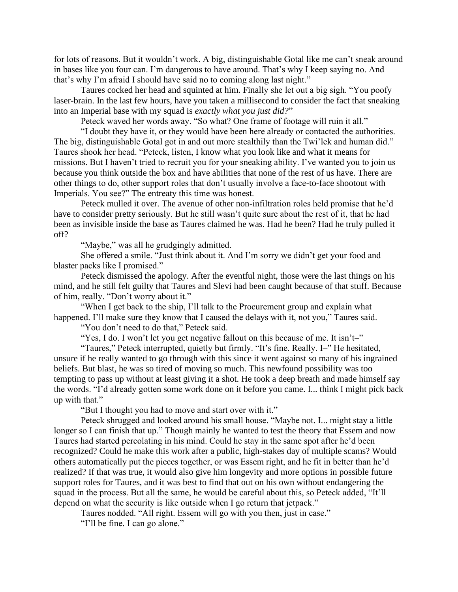for lots of reasons. But it wouldn't work. A big, distinguishable Gotal like me can't sneak around in bases like you four can. I'm dangerous to have around. That's why I keep saying no. And that's why I'm afraid I should have said no to coming along last night."

Taures cocked her head and squinted at him. Finally she let out a big sigh. "You poofy laser-brain. In the last few hours, have you taken a millisecond to consider the fact that sneaking into an Imperial base with my squad is *exactly what you just did?*"

Peteck waved her words away. "So what? One frame of footage will ruin it all."

"I doubt they have it, or they would have been here already or contacted the authorities. The big, distinguishable Gotal got in and out more stealthily than the Twi'lek and human did." Taures shook her head. "Peteck, listen, I know what you look like and what it means for missions. But I haven't tried to recruit you for your sneaking ability. I've wanted you to join us because you think outside the box and have abilities that none of the rest of us have. There are other things to do, other support roles that don't usually involve a face-to-face shootout with Imperials. You see?" The entreaty this time was honest.

Peteck mulled it over. The avenue of other non-infiltration roles held promise that he'd have to consider pretty seriously. But he still wasn't quite sure about the rest of it, that he had been as invisible inside the base as Taures claimed he was. Had he been? Had he truly pulled it off?

"Maybe," was all he grudgingly admitted.

She offered a smile. "Just think about it. And I'm sorry we didn't get your food and blaster packs like I promised."

Peteck dismissed the apology. After the eventful night, those were the last things on his mind, and he still felt guilty that Taures and Slevi had been caught because of that stuff. Because of him, really. "Don't worry about it."

"When I get back to the ship, I'll talk to the Procurement group and explain what happened. I'll make sure they know that I caused the delays with it, not you," Taures said.

"You don't need to do that," Peteck said.

"Yes, I do. I won't let you get negative fallout on this because of me. It isn't-"

"Taures," Peteck interrupted, quietly but firmly. "It's fine. Really. I–" He hesitated, unsure if he really wanted to go through with this since it went against so many of his ingrained beliefs. But blast, he was so tired of moving so much. This newfound possibility was too tempting to pass up without at least giving it a shot. He took a deep breath and made himself say the words. "I'd already gotten some work done on it before you came. I... think I might pick back up with that."

"But I thought you had to move and start over with it."

Peteck shrugged and looked around his small house. "Maybe not. I... might stay a little longer so I can finish that up." Though mainly he wanted to test the theory that Essem and now Taures had started percolating in his mind. Could he stay in the same spot after he'd been recognized? Could he make this work after a public, high-stakes day of multiple scams? Would others automatically put the pieces together, or was Essem right, and he fit in better than he'd realized? If that was true, it would also give him longevity and more options in possible future support roles for Taures, and it was best to find that out on his own without endangering the squad in the process. But all the same, he would be careful about this, so Peteck added, "It'll depend on what the security is like outside when I go return that jetpack."

Taures nodded. "All right. Essem will go with you then, just in case."

"I'll be fine. I can go alone."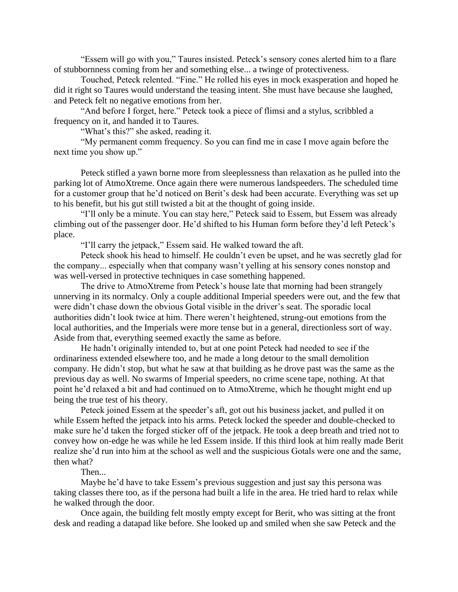"Essem will go with you," Taures insisted. Peteck's sensory cones alerted him to a flare of stubbornness coming from her and something else... a twinge of protectiveness.

Touched, Peteck relented. "Fine." He rolled his eyes in mock exasperation and hoped he did it right so Taures would understand the teasing intent. She must have because she laughed, and Peteck felt no negative emotions from her.

"And before I forget, here." Peteck took a piece of flimsi and a stylus, scribbled a frequency on it, and handed it to Taures.

"What's this?" she asked, reading it.

"My permanent comm frequency. So you can find me in case I move again before the next time you show up."

Peteck stifled a yawn borne more from sleeplessness than relaxation as he pulled into the parking lot of AtmoXtreme. Once again there were numerous landspeeders. The scheduled time for a customer group that he'd noticed on Berit's desk had been accurate. Everything was set up to his benefit, but his gut still twisted a bit at the thought of going inside.

"I'll only be a minute. You can stay here," Peteck said to Essem, but Essem was already climbing out of the passenger door. He'd shifted to his Human form before they'd left Peteck's place.

"I'll carry the jetpack," Essem said. He walked toward the aft.

Peteck shook his head to himself. He couldn't even be upset, and he was secretly glad for the company... especially when that company wasn't yelling at his sensory cones nonstop and was well-versed in protective techniques in case something happened.

The drive to AtmoXtreme from Peteck's house late that morning had been strangely unnerving in its normalcy. Only a couple additional Imperial speeders were out, and the few that were didn't chase down the obvious Gotal visible in the driver's seat. The sporadic local authorities didn't look twice at him. There weren't heightened, strung-out emotions from the local authorities, and the Imperials were more tense but in a general, directionless sort of way. Aside from that, everything seemed exactly the same as before.

He hadn't originally intended to, but at one point Peteck had needed to see if the ordinariness extended elsewhere too, and he made a long detour to the small demolition company. He didn't stop, but what he saw at that building as he drove past was the same as the previous day as well. No swarms of Imperial speeders, no crime scene tape, nothing. At that point he'd relaxed a bit and had continued on to AtmoXtreme, which he thought might end up being the true test of his theory.

Peteck joined Essem at the speeder's aft, got out his business jacket, and pulled it on while Essem hefted the jetpack into his arms. Peteck locked the speeder and double-checked to make sure he'd taken the forged sticker off of the jetpack. He took a deep breath and tried not to convey how on-edge he was while he led Essem inside. If this third look at him really made Berit realize she'd run into him at the school as well and the suspicious Gotals were one and the same, then what?

## Then...

Maybe he'd have to take Essem's previous suggestion and just say this persona was taking classes there too, as if the persona had built a life in the area. He tried hard to relax while he walked through the door.

Once again, the building felt mostly empty except for Berit, who was sitting at the front desk and reading a datapad like before. She looked up and smiled when she saw Peteck and the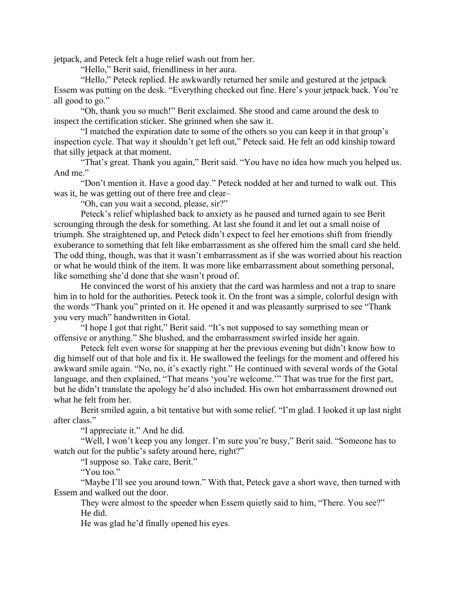jetpack, and Peteck felt a huge relief wash out from her.

"Hello," Berit said, friendliness in her aura.

"Hello," Peteck replied. He awkwardly returned her smile and gestured at the jetpack Essem was putting on the desk. "Everything checked out fine. Here's your jetpack back. You're all good to go."

"Oh, thank you so much!" Berit exclaimed. She stood and came around the desk to inspect the certification sticker. She grinned when she saw it.

"I matched the expiration date to some of the others so you can keep it in that group's inspection cycle. That way it shouldn't get left out," Peteck said. He felt an odd kinship toward that silly jetpack at that moment.

"That's great. Thank you again," Berit said. "You have no idea how much you helped us. And me."

"Don't mention it. Have a good day." Peteck nodded at her and turned to walk out. This was it, he was getting out of there free and clear–

"Oh, can you wait a second, please, sir?"

Peteck's relief whiplashed back to anxiety as he paused and turned again to see Berit scrounging through the desk for something. At last she found it and let out a small noise of triumph. She straightened up, and Peteck didn't expect to feel her emotions shift from friendly exuberance to something that felt like embarrassment as she offered him the small card she held. The odd thing, though, was that it wasn't embarrassment as if she was worried about his reaction or what he would think of the item. It was more like embarrassment about something personal, like something she'd done that she wasn't proud of.

He convinced the worst of his anxiety that the card was harmless and not a trap to snare him in to hold for the authorities. Peteck took it. On the front was a simple, colorful design with the words "Thank you" printed on it. He opened it and was pleasantly surprised to see "Thank you very much" handwritten in Gotal.

"I hope I got that right," Berit said. "It's not supposed to say something mean or offensive or anything." She blushed, and the embarrassment swirled inside her again.

Peteck felt even worse for snapping at her the previous evening but didn't know how to dig himself out of that hole and fix it. He swallowed the feelings for the moment and offered his awkward smile again. "No, no, it's exactly right." He continued with several words of the Gotal language, and then explained, "That means 'you're welcome.'" That was true for the first part, but he didn't translate the apology he'd also included. His own hot embarrassment drowned out what he felt from her.

Berit smiled again, a bit tentative but with some relief. "I'm glad. I looked it up last night after class."

"I appreciate it." And he did.

"Well, I won't keep you any longer. I'm sure you're busy," Berit said. "Someone has to watch out for the public's safety around here, right?"

"I suppose so. Take care, Berit."

"You too."

"Maybe I'll see you around town." With that, Peteck gave a short wave, then turned with Essem and walked out the door.

They were almost to the speeder when Essem quietly said to him, "There. You see?" He did.

He was glad he'd finally opened his eyes.